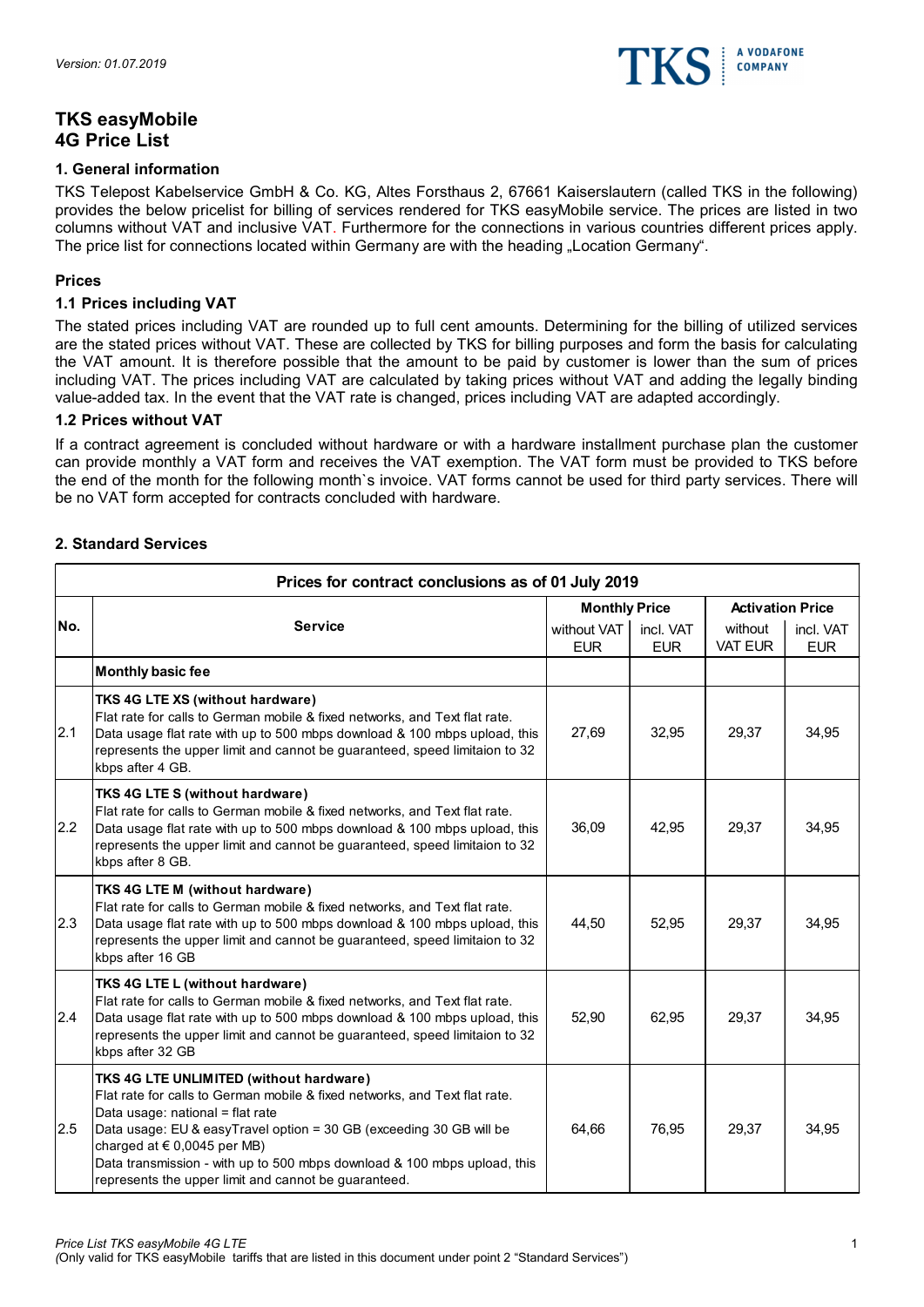

# TKS easyMobile 4G Price List

# 1. General information

TKS Telepost Kabelservice GmbH & Co. KG, Altes Forsthaus 2, 67661 Kaiserslautern (called TKS in the following) provides the below pricelist for billing of services rendered for TKS easyMobile service. The prices are listed in two columns without VAT and inclusive VAT. Furthermore for the connections in various countries different prices apply. The price list for connections located within Germany are with the heading "Location Germany".

#### Prices

# 1.1 Prices including VAT

The stated prices including VAT are rounded up to full cent amounts. Determining for the billing of utilized services are the stated prices without VAT. These are collected by TKS for billing purposes and form the basis for calculating the VAT amount. It is therefore possible that the amount to be paid by customer is lower than the sum of prices including VAT. The prices including VAT are calculated by taking prices without VAT and adding the legally binding value-added tax. In the event that the VAT rate is changed, prices including VAT are adapted accordingly.

#### 1.2 Prices without VAT

#### 2. Standard Services

|      | are the stated prices without VAT. These are collected by TKS for billing purposes and form the basis for calculating<br>the VAT amount. It is therefore possible that the amount to be paid by customer is lower than the sum of prices<br>including VAT. The prices including VAT are calculated by taking prices without VAT and adding the legally binding<br>value-added tax. In the event that the VAT rate is changed, prices including VAT are adapted accordingly. |                                                   |                         |                    |                                                    |
|------|-----------------------------------------------------------------------------------------------------------------------------------------------------------------------------------------------------------------------------------------------------------------------------------------------------------------------------------------------------------------------------------------------------------------------------------------------------------------------------|---------------------------------------------------|-------------------------|--------------------|----------------------------------------------------|
|      | <b>1.2 Prices without VAT</b>                                                                                                                                                                                                                                                                                                                                                                                                                                               |                                                   |                         |                    |                                                    |
|      | If a contract agreement is concluded without hardware or with a hardware installment purchase plan the customer<br>can provide monthly a VAT form and receives the VAT exemption. The VAT form must be provided to TKS before<br>the end of the month for the following month's invoice. VAT forms cannot be used for third party services. There will<br>be no VAT form accepted for contracts concluded with hardware.                                                    |                                                   |                         |                    |                                                    |
|      | 2. Standard Services                                                                                                                                                                                                                                                                                                                                                                                                                                                        |                                                   |                         |                    |                                                    |
|      | Prices for contract conclusions as of 01 July 2019                                                                                                                                                                                                                                                                                                                                                                                                                          |                                                   |                         |                    |                                                    |
| INo. | <b>Service</b>                                                                                                                                                                                                                                                                                                                                                                                                                                                              | <b>Monthly Price</b><br>without VAT<br><b>EUR</b> | incl. VAT<br><b>EUR</b> | without<br>VAT EUR | <b>Activation Price</b><br>incl. VAT<br><b>EUR</b> |
|      | Monthly basic fee                                                                                                                                                                                                                                                                                                                                                                                                                                                           |                                                   |                         |                    |                                                    |
| 2.1  | TKS 4G LTE XS (without hardware)<br>Flat rate for calls to German mobile & fixed networks, and Text flat rate.<br>Data usage flat rate with up to 500 mbps download & 100 mbps upload, this<br>represents the upper limit and cannot be guaranteed, speed limitaion to 32<br>kbps after 4 GB.                                                                                                                                                                               | 27,69                                             | 32,95                   | 29,37              | 34,95                                              |
| 2.2  | <b>TKS 4G LTE S (without hardware)</b><br>Flat rate for calls to German mobile & fixed networks, and Text flat rate.<br>Data usage flat rate with up to 500 mbps download & 100 mbps upload, this<br>represents the upper limit and cannot be guaranteed, speed limitaion to 32<br>kbps after 8 GB.                                                                                                                                                                         | 36,09                                             | 42,95                   | 29,37              | 34,95                                              |
| 2.3  | TKS 4G LTE M (without hardware)<br>Flat rate for calls to German mobile & fixed networks, and Text flat rate.<br>Data usage flat rate with up to 500 mbps download & 100 mbps upload, this<br>represents the upper limit and cannot be guaranteed, speed limitaion to 32<br>kbps after 16 GB                                                                                                                                                                                | 44,50                                             | 52,95                   | 29,37              | 34,95                                              |
| 2.4  | TKS 4G LTE L (without hardware)<br>Flat rate for calls to German mobile & fixed networks, and Text flat rate.<br>Data usage flat rate with up to 500 mbps download & 100 mbps upload, this<br>represents the upper limit and cannot be guaranteed, speed limitaion to 32<br>kbps after 32 GB                                                                                                                                                                                | 52,90                                             | 62,95                   | 29,37              | 34,95                                              |
| 2.5  | TKS 4G LTE UNLIMITED (without hardware)<br>Flat rate for calls to German mobile & fixed networks, and Text flat rate.<br>Data usage: national = flat rate<br>Data usage: EU & easyTravel option = 30 GB (exceeding 30 GB will be<br>charged at $\in$ 0,0045 per MB)<br>Data transmission - with up to 500 mbps download & 100 mbps upload, this<br>represents the upper limit and cannot be guaranteed.                                                                     | 64,66                                             | 76,95                   | 29,37              | 34,95                                              |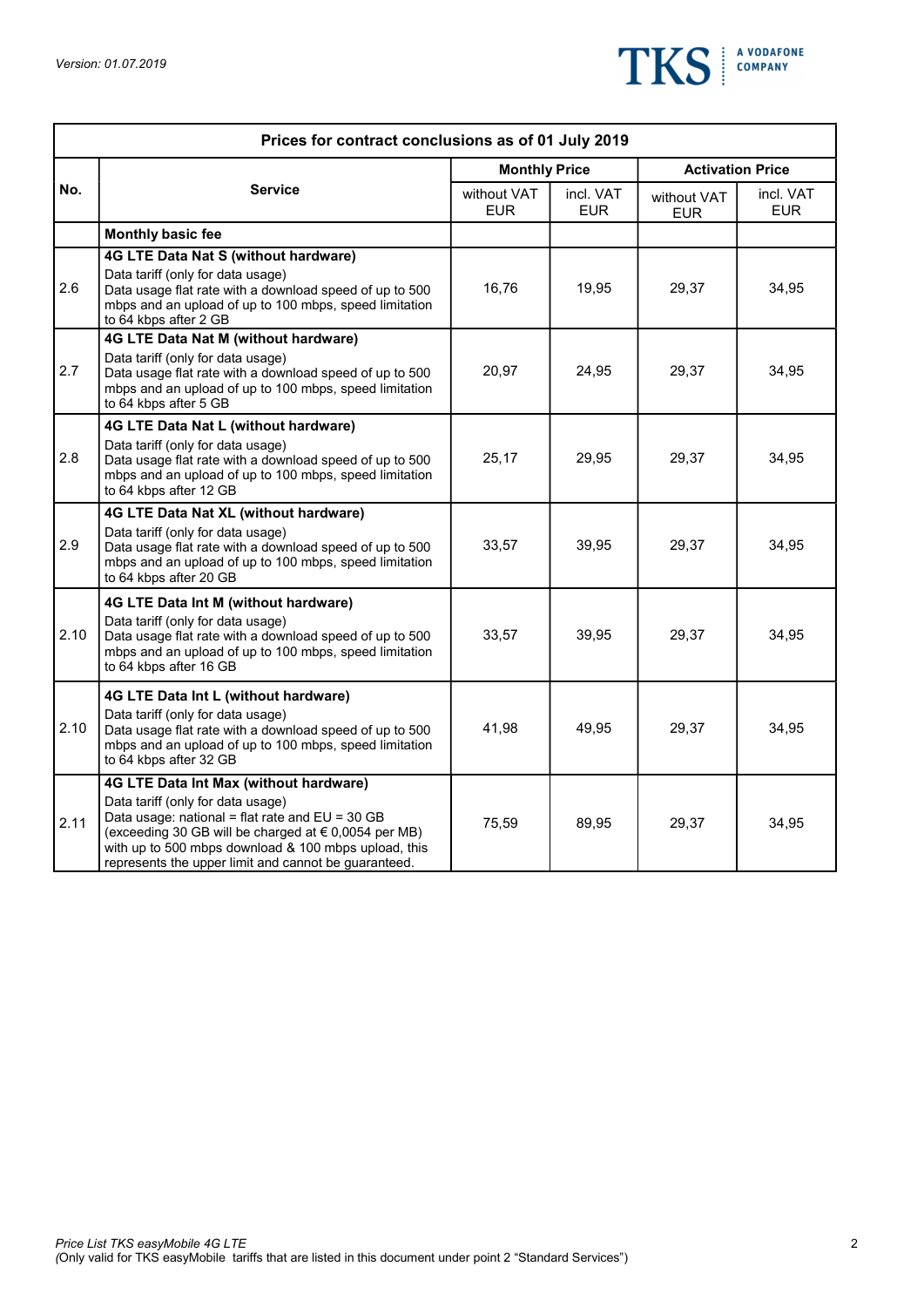

|      | Prices for contract conclusions as of 01 July 2019                                                                                                                                                                                                                                                                  |                           |                   |                           |                         |
|------|---------------------------------------------------------------------------------------------------------------------------------------------------------------------------------------------------------------------------------------------------------------------------------------------------------------------|---------------------------|-------------------|---------------------------|-------------------------|
|      |                                                                                                                                                                                                                                                                                                                     | <b>Monthly Price</b>      |                   |                           | <b>Activation Price</b> |
| No.  | <b>Service</b>                                                                                                                                                                                                                                                                                                      | without VAT<br><b>EUR</b> | incl. VAT<br>EUR. | without VAT<br><b>EUR</b> | incl. VAT<br><b>EUR</b> |
|      | Monthly basic fee                                                                                                                                                                                                                                                                                                   |                           |                   |                           |                         |
| 2.6  | 4G LTE Data Nat S (without hardware)<br>Data tariff (only for data usage)<br>Data usage flat rate with a download speed of up to 500<br>mbps and an upload of up to 100 mbps, speed limitation<br>to 64 kbps after 2 GB                                                                                             | 16,76                     | 19,95             | 29,37                     | 34,95                   |
| 2.7  | 4G LTE Data Nat M (without hardware)<br>Data tariff (only for data usage)<br>Data usage flat rate with a download speed of up to 500<br>mbps and an upload of up to 100 mbps, speed limitation<br>to 64 kbps after 5 GB                                                                                             | 20,97                     | 24,95             | 29,37                     | 34,95                   |
| 2.8  | 4G LTE Data Nat L (without hardware)<br>Data tariff (only for data usage)<br>Data usage flat rate with a download speed of up to 500<br>mbps and an upload of up to 100 mbps, speed limitation<br>to 64 kbps after 12 GB                                                                                            | 25,17                     | 29,95             | 29,37                     | 34,95                   |
|      | 4G LTE Data Nat XL (without hardware)                                                                                                                                                                                                                                                                               |                           |                   |                           |                         |
| 2.9  | Data tariff (only for data usage)<br>Data usage flat rate with a download speed of up to 500<br>mbps and an upload of up to 100 mbps, speed limitation<br>to 64 kbps after 20 GB                                                                                                                                    | 33,57                     | 39,95             | 29,37                     | 34,95                   |
|      | 4G LTE Data Int M (without hardware)                                                                                                                                                                                                                                                                                |                           |                   |                           |                         |
| 2.10 | Data tariff (only for data usage)<br>Data usage flat rate with a download speed of up to 500<br>mbps and an upload of up to 100 mbps, speed limitation<br>to 64 kbps after 16 GB                                                                                                                                    | 33,57                     | 39,95             | 29,37                     | 34,95                   |
| 2.10 | 4G LTE Data Int L (without hardware)<br>Data tariff (only for data usage)<br>Data usage flat rate with a download speed of up to 500<br>mbps and an upload of up to 100 mbps, speed limitation<br>to 64 kbps after 32 GB                                                                                            | 41,98                     | 49,95             | 29,37                     | 34,95                   |
| 2.11 | <b>4G LTE Data Int Max (without hardware)</b><br>Data tariff (only for data usage)<br>Data usage: national = flat rate and $EU = 30 GB$<br>(exceeding 30 GB will be charged at $\in$ 0,0054 per MB)<br>with up to 500 mbps download & 100 mbps upload, this<br>represents the upper limit and cannot be guaranteed. | 75,59                     | 89,95             | 29,37                     | 34,95                   |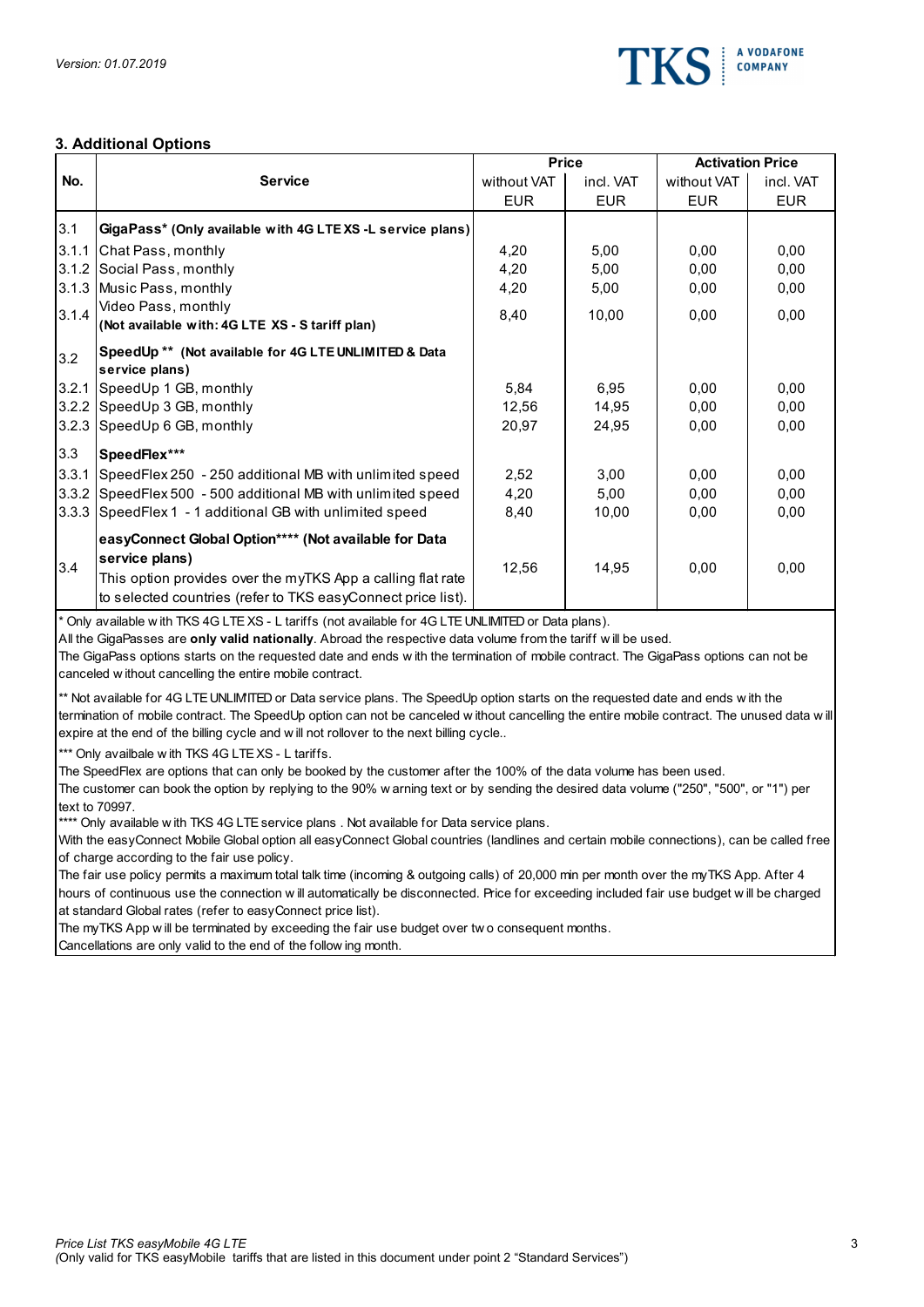

# 3. Additional Options

| No.                 | 3. Additional Options<br><b>Service</b><br>GigaPass* (Only available with 4G LTEXS -L service plans)<br>3.1.1 Chat Pass, monthly<br>3.1.2 Social Pass, monthly<br>3.1.3 Music Pass, monthly<br>Video Pass, monthly<br>(Not available with: 4G LTE XS - S tariff plan) | <b>Price</b><br>without VAT<br><b>EUR</b><br>4,20<br>4,20 | incl. VAT<br><b>EUR</b> | <b>Activation Price</b><br>without VAT<br><b>EUR</b> | incl. VAT    |
|---------------------|-----------------------------------------------------------------------------------------------------------------------------------------------------------------------------------------------------------------------------------------------------------------------|-----------------------------------------------------------|-------------------------|------------------------------------------------------|--------------|
|                     |                                                                                                                                                                                                                                                                       |                                                           |                         |                                                      |              |
|                     |                                                                                                                                                                                                                                                                       |                                                           |                         |                                                      |              |
| 3.1<br>3.1.4<br>3.2 |                                                                                                                                                                                                                                                                       |                                                           |                         |                                                      | <b>EUR</b>   |
|                     |                                                                                                                                                                                                                                                                       |                                                           |                         |                                                      |              |
|                     |                                                                                                                                                                                                                                                                       |                                                           |                         |                                                      |              |
|                     |                                                                                                                                                                                                                                                                       |                                                           | 5,00<br>5,00            | 0,00<br>0,00                                         | 0,00<br>0,00 |
|                     |                                                                                                                                                                                                                                                                       | 4,20                                                      | 5,00                    | 0,00                                                 | 0,00         |
|                     |                                                                                                                                                                                                                                                                       |                                                           |                         |                                                      |              |
|                     |                                                                                                                                                                                                                                                                       | 8,40                                                      | 10,00                   | 0,00                                                 | 0,00         |
|                     | SpeedUp ** (Not available for 4G LTE UNLIMITED & Data                                                                                                                                                                                                                 |                                                           |                         |                                                      |              |
|                     | service plans)                                                                                                                                                                                                                                                        |                                                           |                         |                                                      |              |
|                     | 3.2.1 SpeedUp 1 GB, monthly                                                                                                                                                                                                                                           | 5,84                                                      | 6,95                    | 0,00                                                 | 0,00         |
|                     | 3.2.2 SpeedUp 3 GB, monthly                                                                                                                                                                                                                                           | 12,56                                                     | 14,95                   | 0,00                                                 | 0,00         |
|                     | 3.2.3 SpeedUp 6 GB, monthly                                                                                                                                                                                                                                           | 20,97                                                     | 24,95                   | 0,00                                                 | 0,00         |
| 3.3                 | SpeedFlex***                                                                                                                                                                                                                                                          |                                                           |                         |                                                      |              |
|                     | 3.3.1 SpeedFlex 250 - 250 additional MB with unlimited speed                                                                                                                                                                                                          | 2,52                                                      | 3,00                    | 0,00                                                 | 0,00         |
|                     | 3.3.2 SpeedFlex 500 - 500 additional MB with unlimited speed                                                                                                                                                                                                          | 4,20                                                      | 5,00                    | 0,00                                                 | 0,00         |
|                     | 3.3.3 SpeedFlex 1 - 1 additional GB with unlimited speed                                                                                                                                                                                                              | 8,40                                                      | 10,00                   | 0,00                                                 | 0,00         |
|                     |                                                                                                                                                                                                                                                                       |                                                           |                         |                                                      |              |
|                     | easyConnect Global Option**** (Not available for Data                                                                                                                                                                                                                 |                                                           |                         |                                                      |              |
| 3.4                 | service plans)                                                                                                                                                                                                                                                        | 12,56                                                     | 14,95                   | 0,00                                                 | 0,00         |
|                     | This option provides over the myTKS App a calling flat rate                                                                                                                                                                                                           |                                                           |                         |                                                      |              |
|                     | to selected countries (refer to TKS easyConnect price list).                                                                                                                                                                                                          |                                                           |                         |                                                      |              |
|                     | Only available with TKS 4G LTE XS - L tariffs (not available for 4G LTE UNLIMITED or Data plans).<br>All the GigaPasses are only valid nationally. Abroad the respective data volume from the tariff will be used.                                                    |                                                           |                         |                                                      |              |
|                     | The GigaPass options starts on the requested date and ends with the termination of mobile contract. The GigaPass options can not be<br>canceled w ithout cancelling the entire mobile contract.                                                                       |                                                           |                         |                                                      |              |
|                     | ** Not available for 4G LTE UNLIMITED or Data service plans. The SpeedUp option starts on the requested date and ends with the                                                                                                                                        |                                                           |                         |                                                      |              |
|                     | termination of mobile contract. The SpeedUp option can not be canceled w ithout cancelling the entire mobile contract. The unused data w ill                                                                                                                          |                                                           |                         |                                                      |              |
|                     | expire at the end of the billing cycle and will not rollover to the next billing cycle                                                                                                                                                                                |                                                           |                         |                                                      |              |
|                     | <sup>***</sup> Only availbale with TKS 4G LTE XS - L tariffs.                                                                                                                                                                                                         |                                                           |                         |                                                      |              |
|                     | The SpeedFlex are options that can only be booked by the customer after the 100% of the data volume has been used.                                                                                                                                                    |                                                           |                         |                                                      |              |
|                     | The customer can book the option by replying to the 90% warning text or by sending the desired data volume ("250", "500", or "1") per                                                                                                                                 |                                                           |                         |                                                      |              |
|                     | text to 70997.<br>**** Only available with TKS 4G LTE service plans. Not available for Data service plans.                                                                                                                                                            |                                                           |                         |                                                      |              |
|                     | With the easyConnect Mobile Global option all easyConnect Global countries (landlines and certain mobile connections), can be called free                                                                                                                             |                                                           |                         |                                                      |              |
|                     | of charge according to the fair use policy.                                                                                                                                                                                                                           |                                                           |                         |                                                      |              |
|                     | The fair use policy permits a maximum total talk time (incoming & outgoing calls) of 20,000 min per month over the myTKS App. After 4                                                                                                                                 |                                                           |                         |                                                      |              |
|                     | hours of continuous use the connection will automatically be disconnected. Price for exceeding included fair use budget will be charged                                                                                                                               |                                                           |                         |                                                      |              |
|                     | at standard Global rates (refer to easy Connect price list).                                                                                                                                                                                                          |                                                           |                         |                                                      |              |
|                     | The myTKS App will be terminated by exceeding the fair use budget over two consequent months.                                                                                                                                                                         |                                                           |                         |                                                      |              |
|                     | Cancellations are only valid to the end of the follow ing month.                                                                                                                                                                                                      |                                                           |                         |                                                      |              |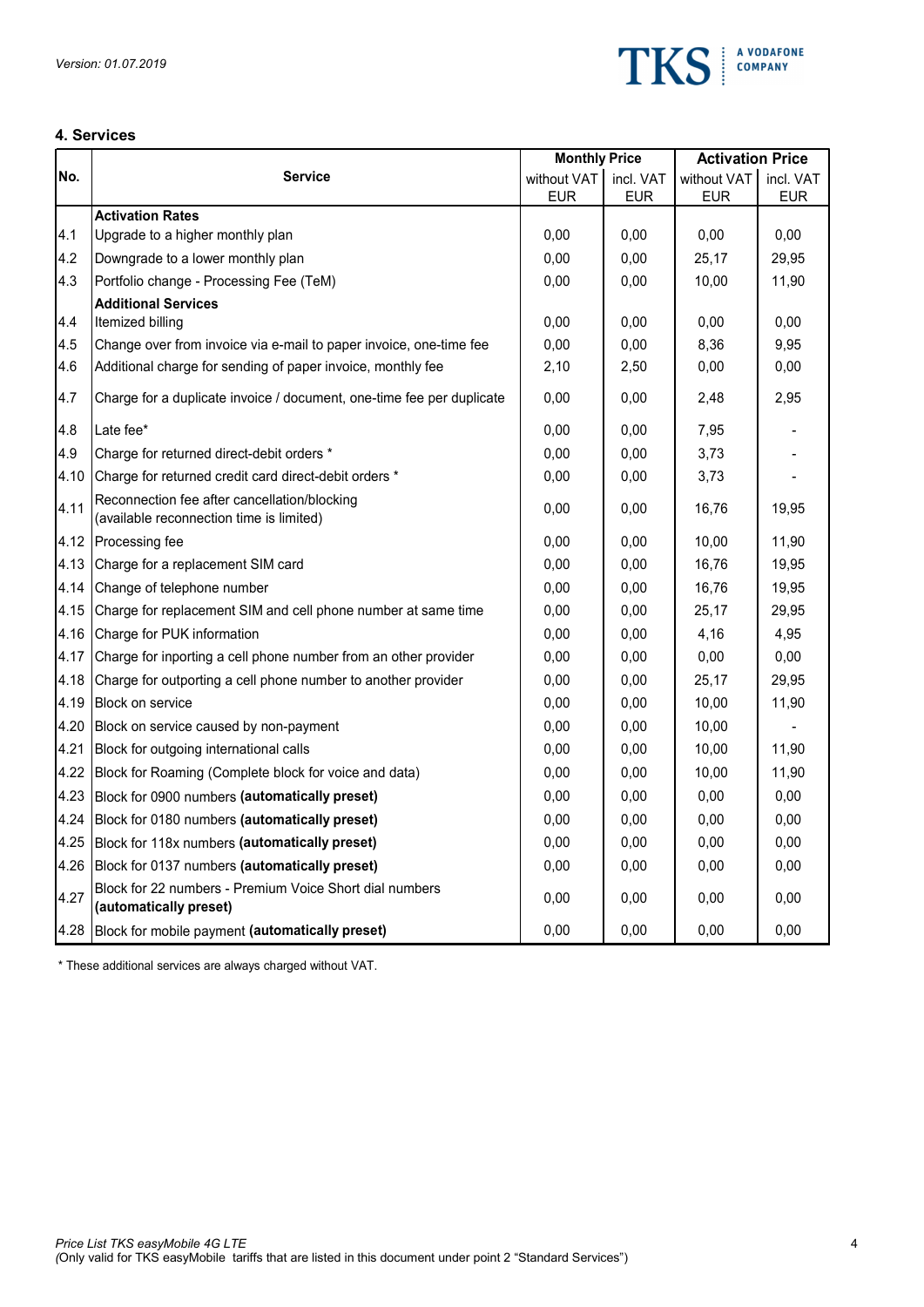

# 4. Services

| 4. Services |                                                                                          |                      |            |                         |            |
|-------------|------------------------------------------------------------------------------------------|----------------------|------------|-------------------------|------------|
|             |                                                                                          | <b>Monthly Price</b> |            | <b>Activation Price</b> |            |
| No.         | <b>Service</b>                                                                           | without VAT          | incl. VAT  | without VAT             | incl. VAT  |
|             | <b>Activation Rates</b>                                                                  | <b>EUR</b>           | <b>EUR</b> | <b>EUR</b>              | <b>EUR</b> |
| 4.1         | Upgrade to a higher monthly plan                                                         | 0,00                 | 0,00       | 0,00                    | 0,00       |
| 4.2         | Downgrade to a lower monthly plan                                                        | 0,00                 | 0,00       | 25,17                   | 29,95      |
| 4.3         | Portfolio change - Processing Fee (TeM)                                                  | 0,00                 | 0,00       | 10,00                   | 11,90      |
|             | <b>Additional Services</b>                                                               |                      |            |                         |            |
| 4.4         | Itemized billing                                                                         | 0,00                 | 0,00       | 0,00                    | 0,00       |
| 4.5         | Change over from invoice via e-mail to paper invoice, one-time fee                       | 0,00                 | 0,00       | 8,36                    | 9,95       |
| 4.6         | Additional charge for sending of paper invoice, monthly fee                              | 2,10                 | 2,50       | 0,00                    | 0,00       |
| 4.7         | Charge for a duplicate invoice / document, one-time fee per duplicate                    | 0,00                 | 0,00       | 2,48                    | 2,95       |
| 4.8         | Late fee*                                                                                | 0,00                 | 0,00       | 7,95                    |            |
| 4.9         | Charge for returned direct-debit orders *                                                | 0,00                 | 0,00       | 3,73                    |            |
| 4.10        | Charge for returned credit card direct-debit orders *                                    | 0,00                 | 0,00       | 3,73                    |            |
| 4.11        | Reconnection fee after cancellation/blocking<br>(available reconnection time is limited) | 0,00                 | 0,00       | 16,76                   | 19,95      |
|             | 4.12 Processing fee                                                                      | 0,00                 | 0,00       | 10,00                   | 11,90      |
|             | 4.13 Charge for a replacement SIM card                                                   | 0,00                 | 0,00       | 16,76                   | 19,95      |
| 4.14        | Change of telephone number                                                               | 0,00                 | 0,00       | 16,76                   | 19,95      |
|             | 4.15 Charge for replacement SIM and cell phone number at same time                       | 0,00                 | 0,00       | 25,17                   | 29,95      |
|             | 4.16 Charge for PUK information                                                          | 0,00                 | 0,00       | 4,16                    | 4,95       |
|             | 4.17 Charge for inporting a cell phone number from an other provider                     | 0,00                 | 0,00       | 0,00                    | 0,00       |
|             | 4.18 Charge for outporting a cell phone number to another provider                       | 0,00                 | 0,00       | 25,17                   | 29,95      |
|             | 4.19 Block on service                                                                    | 0,00                 | 0,00       | 10,00                   | 11,90      |
|             | 4.20 Block on service caused by non-payment                                              | 0,00                 | 0,00       | 10,00                   |            |
|             | 4.21 Block for outgoing international calls                                              | 0,00                 | 0,00       | 10,00                   | 11,90      |
|             | 4.22 Block for Roaming (Complete block for voice and data)                               | 0,00                 | 0,00       | 10,00                   | 11,90      |
|             | 4.23 Block for 0900 numbers (automatically preset)                                       | 0,00                 | 0,00       | 0,00                    | 0,00       |
|             | 4.24 Block for 0180 numbers (automatically preset)                                       | 0,00                 | 0,00       | 0,00                    | 0,00       |
|             | 4.25 Block for 118x numbers (automatically preset)                                       | 0,00                 | 0,00       | 0,00                    | 0,00       |
|             | 4.26 Block for 0137 numbers (automatically preset)                                       | 0,00                 | 0,00       | 0,00                    | 0,00       |
|             | Block for 22 numbers - Premium Voice Short dial numbers                                  | 0,00                 | 0,00       | 0,00                    | 0,00       |
| 4.27        | (automatically preset)                                                                   |                      |            |                         |            |

\* These additional services are always charged without VAT.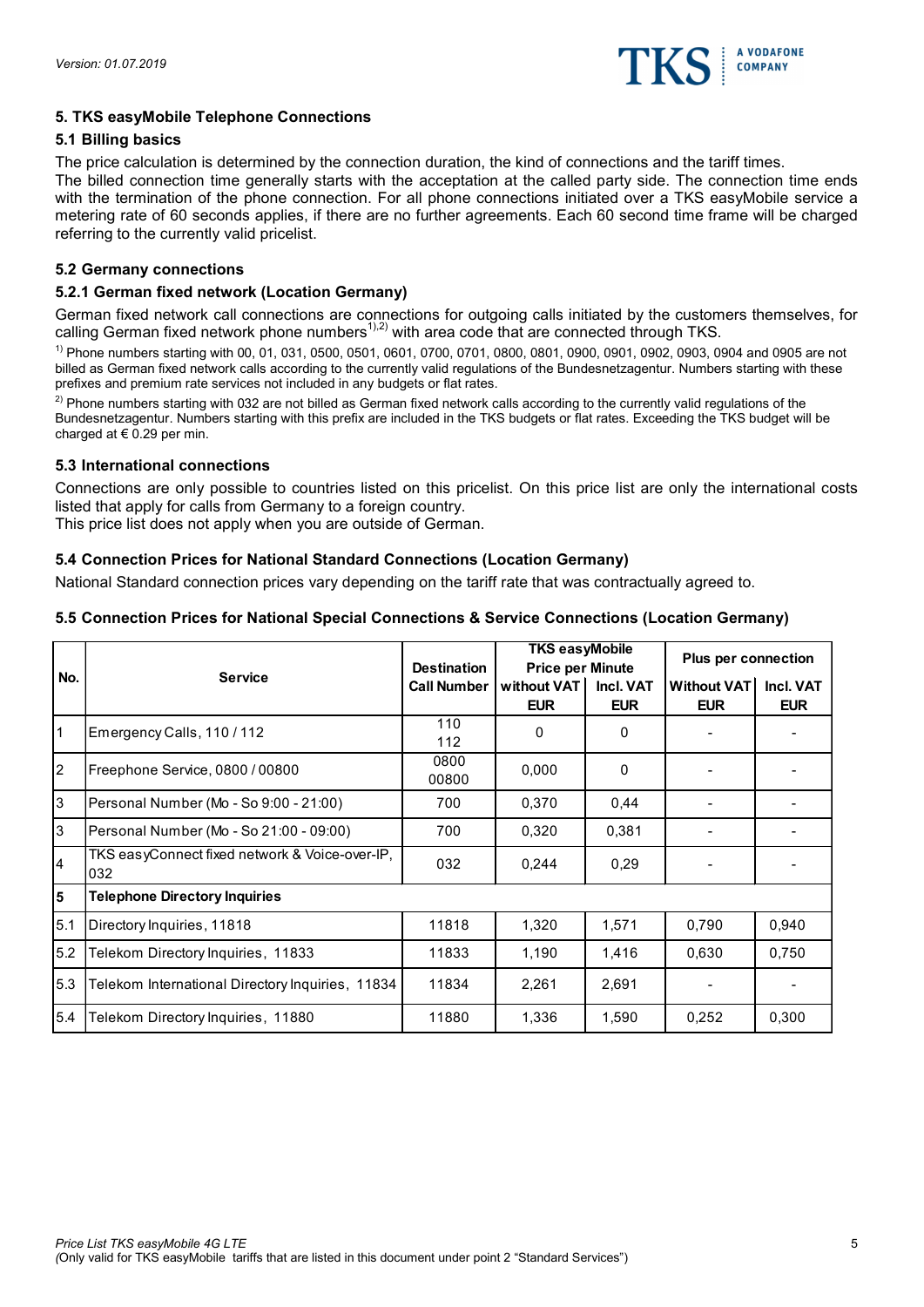

# 5. TKS easyMobile Telephone Connections

## 5.1 Billing basics

The price calculation is determined by the connection duration, the kind of connections and the tariff times.

The billed connection time generally starts with the acceptation at the called party side. The connection time ends with the termination of the phone connection. For all phone connections initiated over a TKS easyMobile service a metering rate of 60 seconds applies, if there are no further agreements. Each 60 second time frame will be charged referring to the currently valid pricelist.

#### 5.2 Germany connections

#### 5.2.1 German fixed network (Location Germany)

#### 5.3 International connections

# 5.4 Connection Prices for National Standard Connections (Location Germany)

# 5.5 Connection Prices for National Special Connections & Service Connections (Location Germany)

|                  | 5.2.1 German fixed network (Location Germany)                                                                                                                                                                                                                                                                                                                                                                                                                                                                                                                                                                                                                                                                                                                                                                                                                                                                                               |                                          |                                        |                 |                          |                          |
|------------------|---------------------------------------------------------------------------------------------------------------------------------------------------------------------------------------------------------------------------------------------------------------------------------------------------------------------------------------------------------------------------------------------------------------------------------------------------------------------------------------------------------------------------------------------------------------------------------------------------------------------------------------------------------------------------------------------------------------------------------------------------------------------------------------------------------------------------------------------------------------------------------------------------------------------------------------------|------------------------------------------|----------------------------------------|-----------------|--------------------------|--------------------------|
|                  | German fixed network call connections are connections for outgoing calls initiated by the customers themselves, for<br>calling German fixed network phone numbers <sup>1),2)</sup> with area code that are connected through TKS.<br><sup>1)</sup> Phone numbers starting with 00, 01, 031, 0500, 0501, 0601, 0700, 0701, 0800, 0801, 0900, 0901, 0902, 0903, 0904 and 0905 are not<br>billed as German fixed network calls according to the currently valid regulations of the Bundesnetzagentur. Numbers starting with these<br>prefixes and premium rate services not included in any budgets or flat rates.<br><sup>2)</sup> Phone numbers starting with 032 are not billed as German fixed network calls according to the currently valid regulations of the<br>Bundesnetzagentur. Numbers starting with this prefix are included in the TKS budgets or flat rates. Exceeding the TKS budget will be<br>charged at $\in 0.29$ per min. |                                          |                                        |                 |                          |                          |
|                  | 5.3 International connections                                                                                                                                                                                                                                                                                                                                                                                                                                                                                                                                                                                                                                                                                                                                                                                                                                                                                                               |                                          |                                        |                 |                          |                          |
|                  | Connections are only possible to countries listed on this pricelist. On this price list are only the international costs<br>listed that apply for calls from Germany to a foreign country.<br>This price list does not apply when you are outside of German.                                                                                                                                                                                                                                                                                                                                                                                                                                                                                                                                                                                                                                                                                |                                          |                                        |                 |                          |                          |
|                  | 5.4 Connection Prices for National Standard Connections (Location Germany)                                                                                                                                                                                                                                                                                                                                                                                                                                                                                                                                                                                                                                                                                                                                                                                                                                                                  |                                          |                                        |                 |                          |                          |
|                  | National Standard connection prices vary depending on the tariff rate that was contractually agreed to.                                                                                                                                                                                                                                                                                                                                                                                                                                                                                                                                                                                                                                                                                                                                                                                                                                     |                                          |                                        |                 |                          |                          |
|                  | 5.5 Connection Prices for National Special Connections & Service Connections (Location Germany)                                                                                                                                                                                                                                                                                                                                                                                                                                                                                                                                                                                                                                                                                                                                                                                                                                             |                                          |                                        |                 |                          |                          |
|                  |                                                                                                                                                                                                                                                                                                                                                                                                                                                                                                                                                                                                                                                                                                                                                                                                                                                                                                                                             |                                          | <b>TKS easyMobile</b>                  |                 |                          |                          |
|                  |                                                                                                                                                                                                                                                                                                                                                                                                                                                                                                                                                                                                                                                                                                                                                                                                                                                                                                                                             |                                          |                                        |                 | Plus per connection      |                          |
| No.              | <b>Service</b>                                                                                                                                                                                                                                                                                                                                                                                                                                                                                                                                                                                                                                                                                                                                                                                                                                                                                                                              | <b>Destination</b><br><b>Call Number</b> | <b>Price per Minute</b><br>without VAT | Incl. VAT       | <b>Without VAT</b>       | Incl. VAT                |
|                  | Emergency Calls, 110 / 112                                                                                                                                                                                                                                                                                                                                                                                                                                                                                                                                                                                                                                                                                                                                                                                                                                                                                                                  | 110<br>112                               | <b>EUR</b><br>0                        | <b>EUR</b><br>0 | <b>EUR</b>               | <b>EUR</b>               |
| $\boldsymbol{2}$ | Freephone Service, 0800 / 00800                                                                                                                                                                                                                                                                                                                                                                                                                                                                                                                                                                                                                                                                                                                                                                                                                                                                                                             | 0800<br>00800                            | 0,000                                  | 0               |                          |                          |
| 3                | Personal Number (Mo - So 9:00 - 21:00)                                                                                                                                                                                                                                                                                                                                                                                                                                                                                                                                                                                                                                                                                                                                                                                                                                                                                                      | 700                                      | 0,370                                  | 0,44            | $\blacksquare$           | $\overline{\phantom{a}}$ |
| 3                | Personal Number (Mo - So 21:00 - 09:00)                                                                                                                                                                                                                                                                                                                                                                                                                                                                                                                                                                                                                                                                                                                                                                                                                                                                                                     | 700                                      | 0,320                                  | 0,381           |                          |                          |
| 4                | TKS easyConnect fixed network & Voice-over-IP,<br>032                                                                                                                                                                                                                                                                                                                                                                                                                                                                                                                                                                                                                                                                                                                                                                                                                                                                                       | 032                                      | 0,244                                  | 0,29            | $\overline{\phantom{a}}$ | $\overline{\phantom{a}}$ |
| 5                | <b>Telephone Directory Inquiries</b>                                                                                                                                                                                                                                                                                                                                                                                                                                                                                                                                                                                                                                                                                                                                                                                                                                                                                                        |                                          |                                        |                 |                          |                          |
| 5.1              | Directory Inquiries, 11818                                                                                                                                                                                                                                                                                                                                                                                                                                                                                                                                                                                                                                                                                                                                                                                                                                                                                                                  | 11818                                    | 1,320                                  | 1,571           | 0,790                    | 0,940                    |
| 5.2              | Telekom Directory Inquiries, 11833                                                                                                                                                                                                                                                                                                                                                                                                                                                                                                                                                                                                                                                                                                                                                                                                                                                                                                          | 11833                                    | 1,190                                  | 1,416           | 0,630                    | 0,750                    |
| 5.3              | Telekom International Directory Inquiries, 11834                                                                                                                                                                                                                                                                                                                                                                                                                                                                                                                                                                                                                                                                                                                                                                                                                                                                                            | 11834                                    | 2,261                                  | 2,691           | $\blacksquare$           | $\overline{\phantom{a}}$ |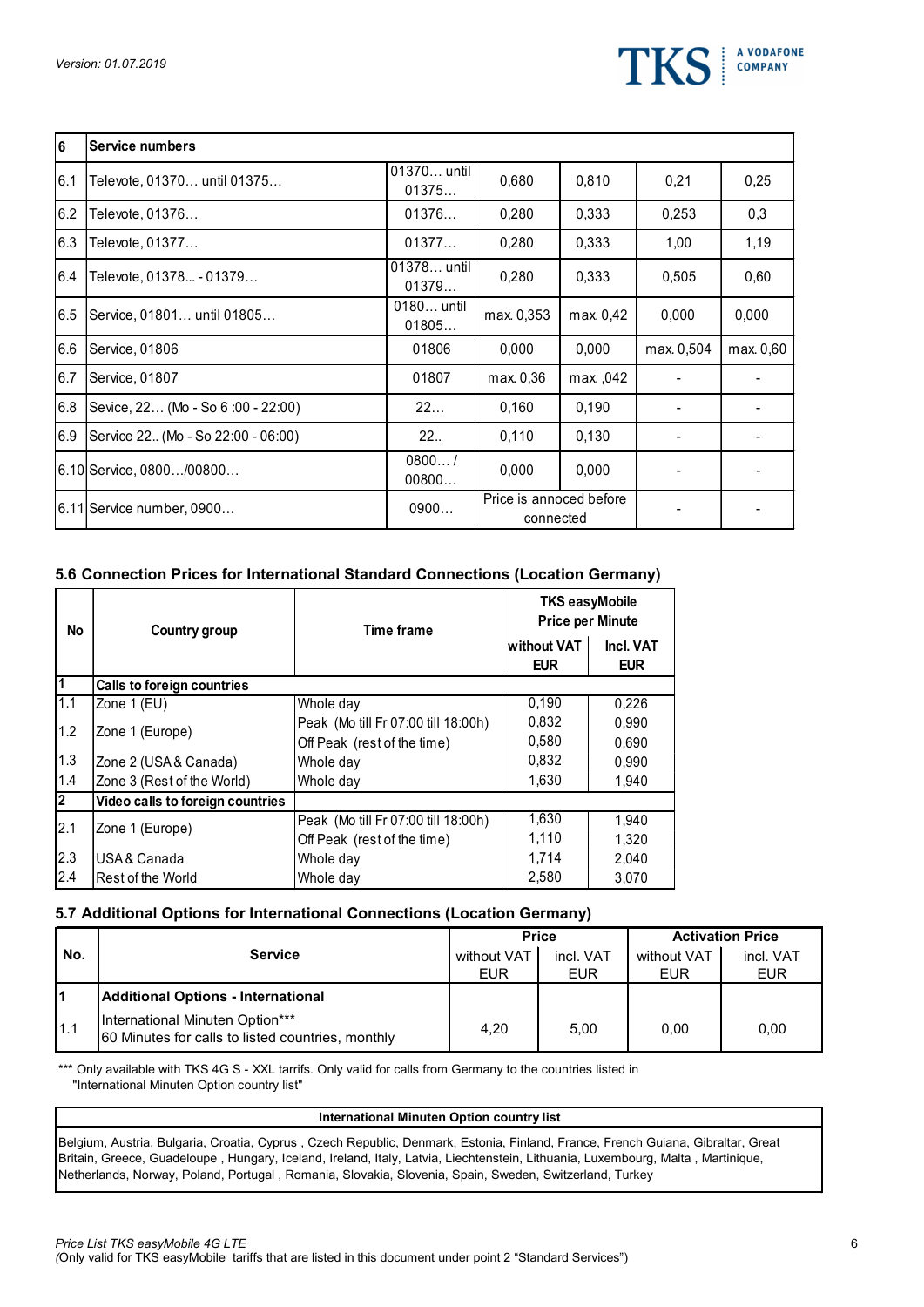

|                       | Version: 01.07.2019                                                             |                             |                                     |                                      |                                                  | <b>TKS</b>              |                | <b>A VODAFONE</b><br><b>COMPANY</b> |
|-----------------------|---------------------------------------------------------------------------------|-----------------------------|-------------------------------------|--------------------------------------|--------------------------------------------------|-------------------------|----------------|-------------------------------------|
| $\vert 6$             | <b>Service numbers</b>                                                          |                             |                                     |                                      |                                                  |                         |                |                                     |
| 6.1                   | Televote, 01370 until 01375                                                     |                             | 01370 until<br>01375                | 0,680                                | 0,810                                            |                         | 0,21           | 0,25                                |
| 6.2                   | Televote, 01376                                                                 |                             | 01376                               | 0,280                                | 0,333                                            |                         | 0,253          | 0,3                                 |
| 6.3                   | Televote, 01377                                                                 |                             | 01377                               | 0,280                                | 0,333                                            |                         | 1,00           | 1,19                                |
| 6.4                   | Televote, 01378 - 01379                                                         |                             | 01378 until<br>01379                | 0,280                                | 0,333                                            |                         | 0,505          | 0,60                                |
|                       | 6.5 Service, 01801 until 01805                                                  |                             | 0180 until<br>01805                 | max. 0,353                           | max. 0,42                                        |                         | 0,000          | 0,000                               |
| 6.6                   | Service, 01806                                                                  |                             | 01806                               | 0,000                                | 0,000                                            |                         | max. 0,504     | max. 0,60                           |
| 6.7                   | Service, 01807                                                                  |                             | 01807                               | max. 0,36                            | max., 042                                        |                         | $\sim$         | $\blacksquare$                      |
|                       | 6.8 Sevice, 22 (Mo - So 6:00 - 22:00)                                           |                             | 22                                  | 0,160                                | 0,190                                            |                         | $\blacksquare$ | $\sim$                              |
| 6.9                   | Service 22. (Mo - So 22:00 - 06:00)                                             |                             | 22.                                 | 0,110                                | 0,130                                            |                         | $\blacksquare$ | $\overline{\phantom{a}}$            |
|                       | 6.10 Service, 0800/00800                                                        |                             | 0800/<br>00800                      | 0,000                                | 0,000                                            |                         |                |                                     |
|                       | 6.11 Service number, 0900                                                       |                             | 0900                                | Price is annoced before<br>connected |                                                  |                         |                | $\blacksquare$                      |
|                       |                                                                                 |                             |                                     |                                      |                                                  |                         |                |                                     |
|                       | 5.6 Connection Prices for International Standard Connections (Location Germany) |                             |                                     |                                      |                                                  |                         |                |                                     |
| No                    | Country group                                                                   |                             | <b>Time frame</b>                   |                                      | <b>TKS easyMobile</b><br><b>Price per Minute</b> |                         |                |                                     |
|                       |                                                                                 |                             |                                     | without VAT<br><b>EUR</b>            |                                                  | Incl. VAT<br><b>EUR</b> |                |                                     |
| 1                     | Calls to foreign countries                                                      |                             |                                     |                                      |                                                  |                         |                |                                     |
| 1.1                   | Zone 1 (EU)                                                                     | Whole day                   |                                     | 0,190                                |                                                  | 0,226                   |                |                                     |
| 1.2                   | Zone 1 (Europe)                                                                 | Off Peak (rest of the time) | Peak (Mo till Fr 07:00 till 18:00h) | 0,832<br>0,580                       |                                                  | 0,990<br>0,690          |                |                                     |
| 1.3                   | Zone 2 (USA & Canada)                                                           | Whole day                   |                                     | 0,832                                |                                                  | 0,990                   |                |                                     |
| 1.4<br>$\overline{2}$ | Zone 3 (Rest of the World)<br>Video calls to foreign countries                  | Whole day                   |                                     | 1,630                                |                                                  | 1,940                   |                |                                     |

# 5.6 Connection Prices for International Standard Connections (Location Germany)

| 6.7                     | Service, 01807                                                                                                                                              |                                                                    | 01807                                            |                           | max. 0,36                 | max., 042                                        |                           |                          |                         |
|-------------------------|-------------------------------------------------------------------------------------------------------------------------------------------------------------|--------------------------------------------------------------------|--------------------------------------------------|---------------------------|---------------------------|--------------------------------------------------|---------------------------|--------------------------|-------------------------|
|                         | 6.8 Sevice, 22 (Mo - So 6:00 - 22:00)                                                                                                                       |                                                                    | 22                                               |                           | 0,160                     | 0,190                                            |                           |                          |                         |
|                         | 6.9 Service 22. (Mo - So 22:00 - 06:00)                                                                                                                     |                                                                    | 22.                                              |                           | 0,110                     | 0,130                                            |                           | $\overline{\phantom{a}}$ | $\blacksquare$          |
|                         | 6.10 Service, 0800/00800                                                                                                                                    |                                                                    | 0800/<br>00800                                   |                           | 0,000                     | 0,000                                            |                           |                          |                         |
|                         | 6.11 Service number, 0900                                                                                                                                   |                                                                    | 0900                                             |                           |                           | Price is annoced before<br>connected             |                           | $\overline{\phantom{a}}$ | $\blacksquare$          |
|                         | 5.6 Connection Prices for International Standard Connections (Location Germany)                                                                             |                                                                    |                                                  |                           |                           |                                                  |                           |                          |                         |
| <b>No</b>               | Country group                                                                                                                                               |                                                                    | <b>Time frame</b>                                |                           |                           | <b>TKS easyMobile</b><br><b>Price per Minute</b> |                           |                          |                         |
|                         |                                                                                                                                                             |                                                                    |                                                  |                           | without VAT<br><b>EUR</b> |                                                  | Incl. VAT<br><b>EUR</b>   |                          |                         |
| $\overline{\mathbf{1}}$ | Calls to foreign countries                                                                                                                                  |                                                                    |                                                  |                           |                           |                                                  |                           |                          |                         |
| 1.1                     | Zone 1 (EU)                                                                                                                                                 | Whole day                                                          |                                                  |                           | 0,190                     |                                                  | 0,226                     |                          |                         |
| 1.2                     | Zone 1 (Europe)                                                                                                                                             | Peak (Mo till Fr 07:00 till 18:00h)<br>Off Peak (rest of the time) |                                                  |                           | 0,832<br>0,580            |                                                  | 0,990<br>0,690            |                          |                         |
| $1.3$                   | Zone 2 (USA & Canada)                                                                                                                                       | Whole day                                                          |                                                  |                           | 0,832                     |                                                  | 0,990                     |                          |                         |
| 1.4                     | Zone 3 (Rest of the World)                                                                                                                                  | Whole day                                                          |                                                  |                           | 1,630                     |                                                  | 1,940                     |                          |                         |
| 2                       | Video calls to foreign countries                                                                                                                            |                                                                    |                                                  |                           |                           |                                                  |                           |                          |                         |
| 2.1                     | Zone 1 (Europe)                                                                                                                                             | Peak (Mo till Fr 07:00 till 18:00h)<br>Off Peak (rest of the time) |                                                  |                           | 1,630<br>1,110            |                                                  | 1,940<br>1,320            |                          |                         |
| 2.3                     | USA & Canada                                                                                                                                                | Whole day                                                          |                                                  |                           | 1,714                     |                                                  | 2,040                     |                          |                         |
| 2.4                     | Rest of the World                                                                                                                                           | Whole day                                                          |                                                  |                           | 2,580                     |                                                  | 3,070                     |                          |                         |
|                         | 5.7 Additional Options for International Connections (Location Germany)                                                                                     |                                                                    |                                                  |                           |                           |                                                  |                           |                          |                         |
|                         |                                                                                                                                                             |                                                                    |                                                  |                           | <b>Price</b>              |                                                  |                           |                          | <b>Activation Price</b> |
| No.                     | <b>Service</b>                                                                                                                                              |                                                                    |                                                  | without VAT<br><b>EUR</b> |                           | incl. VAT<br><b>EUR</b>                          | without VAT<br><b>EUR</b> |                          | incl. VAT<br><b>EUR</b> |
| 11                      | <b>Additional Options - International</b>                                                                                                                   |                                                                    |                                                  |                           |                           |                                                  |                           |                          |                         |
| 1.1                     | International Minuten Option***<br>60 Minutes for calls to listed countries, monthly                                                                        |                                                                    |                                                  | 4,20                      |                           | 5,00                                             | 0,00                      |                          | 0,00                    |
|                         | *** Only available with TKS 4G S - XXL tarrifs. Only valid for calls from Germany to the countries listed in<br>"International Minuten Option country list" |                                                                    |                                                  |                           |                           |                                                  |                           |                          |                         |
|                         |                                                                                                                                                             |                                                                    | <b>International Minuten Option country list</b> |                           |                           |                                                  |                           |                          |                         |
|                         |                                                                                                                                                             |                                                                    |                                                  |                           |                           |                                                  |                           |                          |                         |

# 5.7 Additional Options for International Connections (Location Germany)

|      |                                                                                      |             | <b>Price</b> |             | <b>Activation Price</b> |
|------|--------------------------------------------------------------------------------------|-------------|--------------|-------------|-------------------------|
| No.  | <b>Service</b>                                                                       | without VAT | incl. VAT    | without VAT | incl. VAT               |
|      |                                                                                      | <b>EUR</b>  | <b>EUR</b>   | EUR         | <b>EUR</b>              |
| I1   | Additional Options - International                                                   |             |              |             |                         |
| I1.1 | International Minuten Option***<br>60 Minutes for calls to listed countries, monthly | 4,20        | 5,00         | 0,00        | 0,00                    |

#### International Minuten Option country list

Belgium, Austria, Bulgaria, Croatia, Cyprus , Czech Republic, Denmark, Estonia, Finland, France, French Guiana, Gibraltar, Great Britain, Greece, Guadeloupe , Hungary, Iceland, Ireland, Italy, Latvia, Liechtenstein, Lithuania, Luxembourg, Malta , Martinique, Netherlands, Norway, Poland, Portugal , Romania, Slovakia, Slovenia, Spain, Sweden, Switzerland, Turkey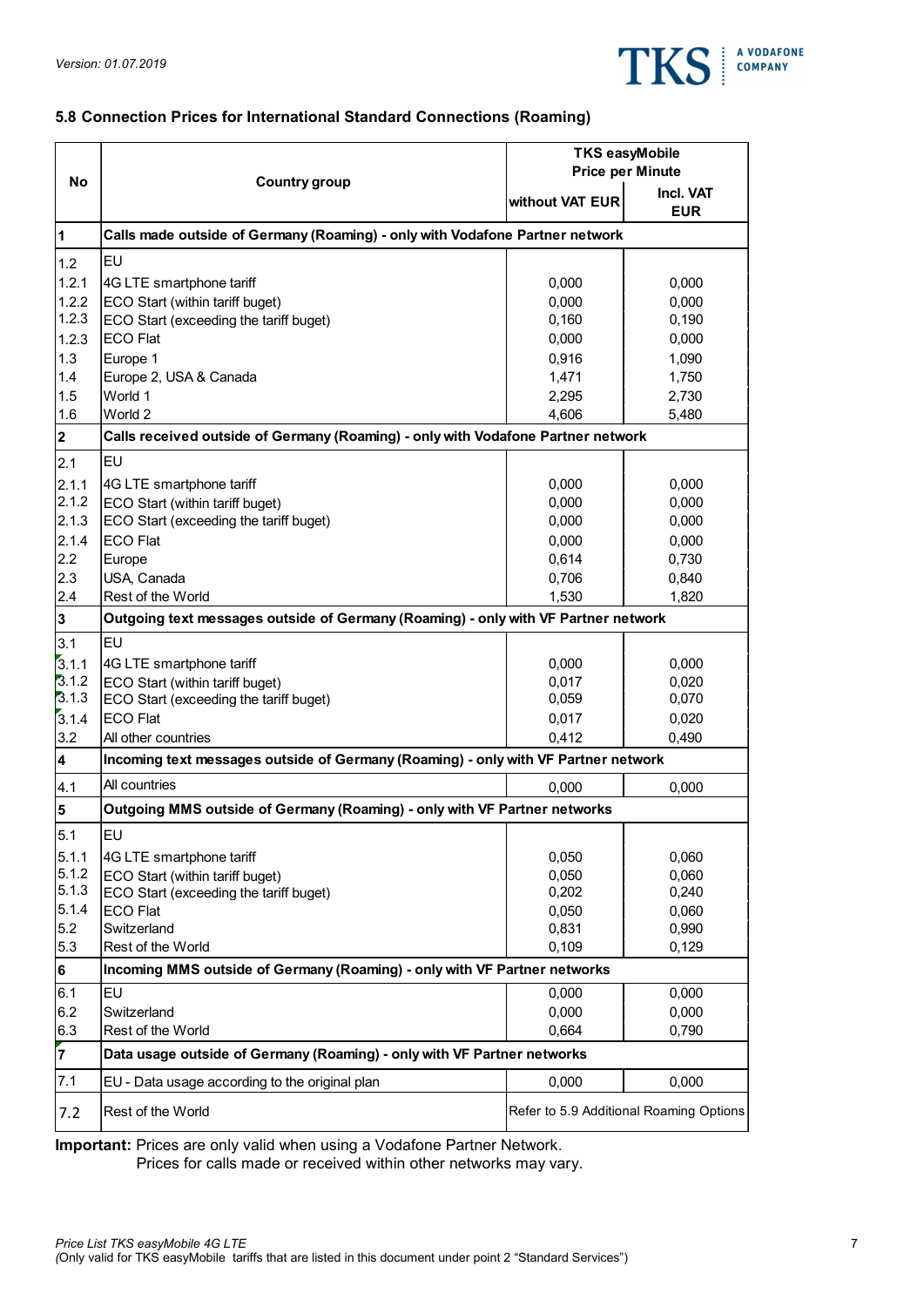

# 5.8 Connection Prices for International Standard Connections (Roaming)

|                         |                                                                                    |                                            | <b>TKS</b>     |
|-------------------------|------------------------------------------------------------------------------------|--------------------------------------------|----------------|
|                         | 5.8 Connection Prices for International Standard Connections (Roaming)             | <b>TKS easyMobile</b>                      |                |
| No                      | <b>Country group</b>                                                               | <b>Price per Minute</b><br>without VAT EUR | Incl. VAT      |
|                         |                                                                                    |                                            | <b>EUR</b>     |
| 1                       | Calls made outside of Germany (Roaming) - only with Vodafone Partner network       |                                            |                |
| 1.2                     | <b>EU</b>                                                                          |                                            |                |
| 1.2.1                   | 4G LTE smartphone tariff                                                           | 0,000                                      | 0,000          |
| 1.2.2                   | ECO Start (within tariff buget)                                                    | 0,000                                      | 0,000          |
| 1.2.3                   | ECO Start (exceeding the tariff buget)                                             | 0,160                                      | 0,190          |
| 1.2.3                   | ECO Flat                                                                           | 0,000                                      | 0,000          |
| 1.3                     | Europe 1                                                                           | 0,916                                      | 1,090          |
| 1.4                     | Europe 2, USA & Canada                                                             | 1,471                                      | 1,750          |
| 1.5                     | World 1                                                                            | 2,295                                      | 2,730          |
| 1.6                     | World 2                                                                            | 4,606                                      | 5,480          |
| $\overline{\mathbf{2}}$ | Calls received outside of Germany (Roaming) - only with Vodafone Partner network   |                                            |                |
| 2.1                     | <b>EU</b>                                                                          |                                            |                |
| 2.1.1                   | 4G LTE smartphone tariff                                                           | 0,000                                      | 0,000          |
| 2.1.2                   | ECO Start (within tariff buget)                                                    | 0,000                                      | 0,000          |
| 2.1.3                   | ECO Start (exceeding the tariff buget)                                             | 0,000                                      | 0,000          |
| 2.1.4                   | ECO Flat                                                                           | 0,000                                      | 0,000          |
| 2.2                     | Europe                                                                             | 0,614                                      | 0,730          |
| 2.3                     | <b>IUSA, Canada</b>                                                                | 0,706                                      | 0,840          |
| 2.4                     | Rest of the World                                                                  | 1,530                                      | 1,820          |
| 3                       | Outgoing text messages outside of Germany (Roaming) - only with VF Partner network |                                            |                |
|                         |                                                                                    |                                            |                |
| 3.1                     | <b>EU</b>                                                                          |                                            |                |
| 3.1.1                   | 4G LTE smartphone tariff                                                           | 0,000                                      | 0,000          |
| 3.1.2<br>3.1.3          | ECO Start (within tariff buget)<br>ECO Start (exceeding the tariff buget)          | 0,017<br>0,059                             | 0,020<br>0,070 |
|                         | ECO Flat                                                                           | 0,017                                      | 0,020          |
| 3.1.4<br>3.2            | All other countries                                                                |                                            | 0,490          |
|                         |                                                                                    | 0,412                                      |                |
| 4                       | Incoming text messages outside of Germany (Roaming) - only with VF Partner network |                                            |                |
| 4.1                     | All countries                                                                      | 0,000                                      | 0,000          |
| 5                       | Outgoing MMS outside of Germany (Roaming) - only with VF Partner networks          |                                            |                |
| 5.1                     | <b>EU</b>                                                                          |                                            |                |
| 5.1.1                   | 4G LTE smartphone tariff                                                           | 0,050                                      | 0,060          |
| 5.1.2                   | ECO Start (within tariff buget)                                                    | 0,050                                      | 0,060          |
| 5.1.3                   | ECO Start (exceeding the tariff buget)                                             | 0,202                                      | 0,240          |
| 5.1.4                   | ECO Flat                                                                           | 0,050                                      | 0,060          |
| 5.2                     | Switzerland                                                                        | 0,831                                      | 0,990          |
| 5.3                     | Rest of the World                                                                  | 0,109                                      | 0,129          |
| 6                       | Incoming MMS outside of Germany (Roaming) - only with VF Partner networks          |                                            |                |
| 6.1                     | leu                                                                                | 0,000                                      | 0,000          |
| 6.2                     | Switzerland                                                                        | 0,000                                      | 0,000          |
| 6.3                     | Rest of the World                                                                  | 0,664                                      | 0,790          |
| $\overline{7}$          | Data usage outside of Germany (Roaming) - only with VF Partner networks            |                                            |                |
|                         |                                                                                    |                                            |                |
| 7.1                     | EU - Data usage according to the original plan                                     | 0,000                                      | 0,000          |
| 7.2                     | Rest of the World                                                                  | Refer to 5.9 Additional Roaming Options    |                |
|                         |                                                                                    |                                            |                |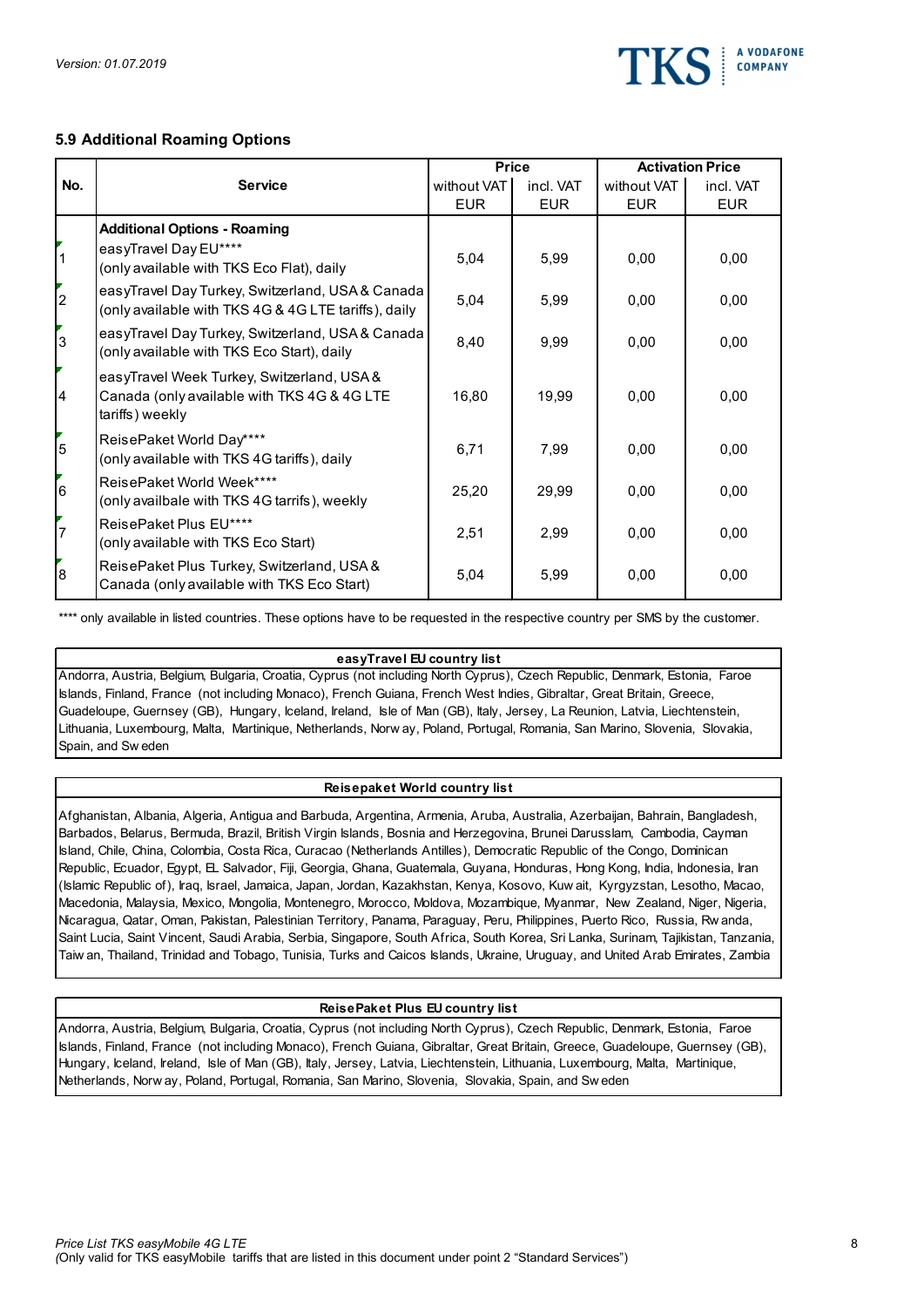

# 5.9 Additional Roaming Options

|                            | Version: 01.07.2019                                                                                                                                                                                                                                                                                                                                                                                                                                                                                                                  |                           |                         | TK.                       | <b>A VODAFONE</b><br><b>COMPANY</b> |
|----------------------------|--------------------------------------------------------------------------------------------------------------------------------------------------------------------------------------------------------------------------------------------------------------------------------------------------------------------------------------------------------------------------------------------------------------------------------------------------------------------------------------------------------------------------------------|---------------------------|-------------------------|---------------------------|-------------------------------------|
|                            | 5.9 Additional Roaming Options                                                                                                                                                                                                                                                                                                                                                                                                                                                                                                       | <b>Price</b>              |                         |                           | <b>Activation Price</b>             |
| No.                        | <b>Service</b>                                                                                                                                                                                                                                                                                                                                                                                                                                                                                                                       | without VAT<br><b>EUR</b> | incl. VAT<br><b>EUR</b> | without VAT<br><b>EUR</b> | incl. VAT<br><b>EUR</b>             |
| $\mathsf{I}_1$             | <b>Additional Options - Roaming</b><br>easyTravel Day EU****<br>(only available with TKS Eco Flat), daily                                                                                                                                                                                                                                                                                                                                                                                                                            | 5,04                      | 5,99                    | 0,00                      | 0,00                                |
| $\overline{\phantom{a}}^2$ | easyTravel Day Turkey, Switzerland, USA & Canada<br>(only available with TKS 4G & 4G LTE tariffs), daily                                                                                                                                                                                                                                                                                                                                                                                                                             | 5,04                      | 5,99                    | 0,00                      | 0,00                                |
| $\overline{3}$             | easyTravel Day Turkey, Switzerland, USA & Canada<br>(only available with TKS Eco Start), daily                                                                                                                                                                                                                                                                                                                                                                                                                                       | 8,40                      | 9,99                    | 0,00                      | 0,00                                |
| $\overline{A}$             | easyTravel Week Turkey, Switzerland, USA&<br>Canada (only available with TKS 4G & 4G LTE<br>tariffs) weekly                                                                                                                                                                                                                                                                                                                                                                                                                          | 16,80                     | 19,99                   | 0,00                      | 0,00                                |
| $\frac{1}{5}$              | ReisePaket World Day****<br>(only available with TKS 4G tariffs), daily                                                                                                                                                                                                                                                                                                                                                                                                                                                              | 6,71                      | 7,99                    | 0,00                      | 0,00                                |
| l6                         | ReisePaket World Week****<br>(only availbale with TKS 4G tarrifs), weekly                                                                                                                                                                                                                                                                                                                                                                                                                                                            | 25,20                     | 29,99                   | 0,00                      | 0,00                                |
| $\mathbf{r}_{7}$           | ReisePaket Plus EU****<br>(only available with TKS Eco Start)                                                                                                                                                                                                                                                                                                                                                                                                                                                                        | 2,51                      | 2,99                    | 0,00                      | 0,00                                |
| $\vert_{8}$                | ReisePaket Plus Turkey, Switzerland, USA &<br>Canada (only available with TKS Eco Start)                                                                                                                                                                                                                                                                                                                                                                                                                                             | 5,04                      | 5,99                    | 0,00                      | 0,00                                |
|                            | **** only available in listed countries. These options have to be requested in the respective country per SMS by the customer.                                                                                                                                                                                                                                                                                                                                                                                                       |                           |                         |                           |                                     |
|                            | easyTravel EU country list                                                                                                                                                                                                                                                                                                                                                                                                                                                                                                           |                           |                         |                           |                                     |
|                            | Andorra, Austria, Belgium, Bulgaria, Croatia, Cyprus (not including North Cyprus), Czech Republic, Denmark, Estonia, Faroe<br>Islands, Finland, France (not including Monaco), French Guiana, French West Indies, Gibraltar, Great Britain, Greece,<br>Guadeloupe, Guernsey (GB), Hungary, Iceland, Ireland, Isle of Man (GB), Italy, Jersey, La Reunion, Latvia, Liechtenstein,<br>Lithuania, Luxembourg, Malta, Martinique, Netherlands, Norw ay, Poland, Portugal, Romania, San Marino, Slovenia, Slovakia,<br>Spain, and Sw eden |                           |                         |                           |                                     |
|                            | Reisepaket World country list                                                                                                                                                                                                                                                                                                                                                                                                                                                                                                        |                           |                         |                           |                                     |

#### easyTravel EU country list

#### Reisepaket World country list

Afghanistan, Albania, Algeria, Antigua and Barbuda, Argentina, Armenia, Aruba, Australia, Azerbaijan, Bahrain, Bangladesh, Barbados, Belarus, Bermuda, Brazil, British Virgin Islands, Bosnia and Herzegovina, Brunei Darusslam, Cambodia, Cayman Island, Chile, China, Colombia, Costa Rica, Curacao (Netherlands Antilles), Democratic Republic of the Congo, Dominican Republic, Ecuador, Egypt, EL Salvador, Fiji, Georgia, Ghana, Guatemala, Guyana, Honduras, Hong Kong, India, Indonesia, Iran (Republic Republic Republic Diversion (Islamic Republic Of Diversion Control Control Control Control Control Control Control Control Control Control Control Control Control Control Control Control Control Control Control C Control and the EU and the EU and the EU and the EU and the EU and the EU and the EU and the EU and the EU and the EU and the EU and the EU and the EU and the EU and the EU and the EU and the EU and the EU and the EU and t Nicara-Pakistan, Plancar, Oman, Palestinian Territory, Bandal Coman, Palestinian Palestinian Territorius, 2003<br>
Satisfandian Palestinian Territorius, Switzantand, USA & 5,04 5,99<br>
Canada (omi) available with TKS Eco Start Saint Lucia, Saint Vincent, Saudi Arabia, Serbia, Singapore, South Africa, South Korea, Sri Lanka, Surinam, Tajikistan, Tanzania, Taiw an, Thailand, Trinidad and Tobago, Tunisia, Turks and Caicos Islands, Ukraine, Uruguay, and United Arab Emirates, Zambia Andorra, Austra, Begarn, Bugara, Coata, Rynes (no moduling North Cyptus), Czech tepubuto, Demnet, Latom, Faron<br>Mistrofa, Fristof, Frisch, Poland, Poland, Poland, Poland, Poland, Poland, Poland, Poland, Poland, Romania, Sun

#### ReisePaket Plus EU country list

Andorra, Austria, Belgium, Bulgaria, Croatia, Cyprus (not including North Cyprus), Czech Republic, Denmark, Estonia, Faroe Islands, Finland, France (not including Monaco), French Guiana, Gibraltar, Great Britain, Greece, Guadeloupe, Guernsey (GB), Hungary, Iceland, Ireland, Isle of Man (GB), Italy, Jersey, Latvia, Liechtenstein, Lithuania, Luxembourg, Malta, Martinique,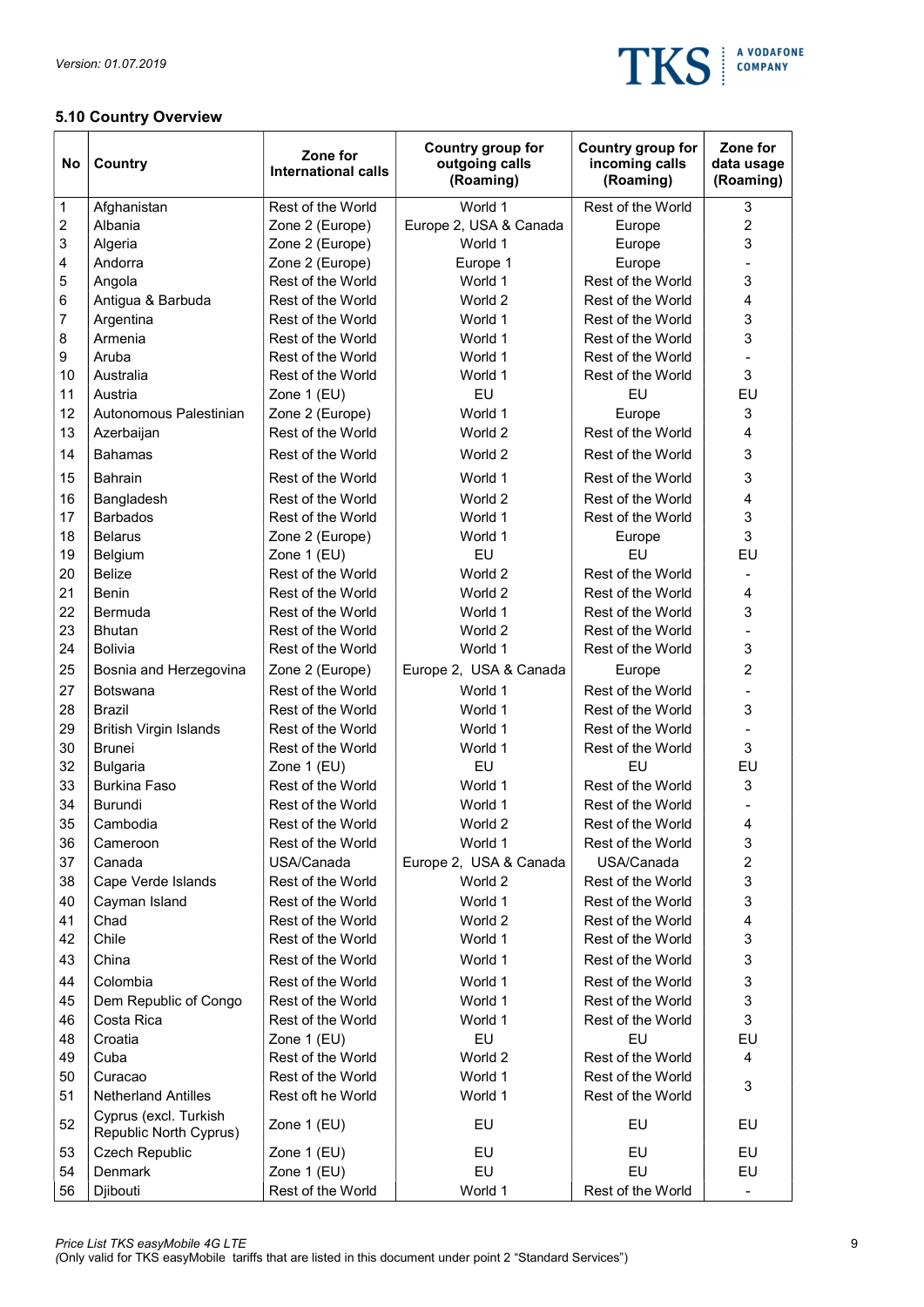

# 5.10 Country Overview

| No       | <b>Country</b>                                  | Zone for<br><b>International calls</b> | Country group for<br>outgoing calls<br>(Roaming) | Country group for<br>incoming calls<br>(Roaming) | Zone for<br>data usage<br>(Roaming) |
|----------|-------------------------------------------------|----------------------------------------|--------------------------------------------------|--------------------------------------------------|-------------------------------------|
| 1        | Afghanistan                                     | Rest of the World                      | World 1                                          | Rest of the World                                | 3                                   |
| 2        | Albania                                         | Zone 2 (Europe)                        | Europe 2, USA & Canada                           | Europe                                           | $\overline{2}$                      |
| 3        | Algeria                                         | Zone 2 (Europe)                        | World 1                                          | Europe                                           | 3                                   |
| 4        | Andorra                                         | Zone 2 (Europe)                        | Europe 1                                         | Europe                                           |                                     |
| 5        | Angola                                          | Rest of the World                      | World 1                                          | Rest of the World                                | 3                                   |
| 6        | Antigua & Barbuda                               | Rest of the World                      | World 2                                          | Rest of the World                                | 4                                   |
| 7        | Argentina                                       | Rest of the World                      | World 1                                          | Rest of the World                                | 3                                   |
| 8        | Armenia                                         | Rest of the World                      | World 1                                          | Rest of the World                                | 3                                   |
| 9        | Aruba                                           | Rest of the World                      | World 1                                          | Rest of the World                                |                                     |
| 10       | Australia                                       | Rest of the World                      | World 1                                          | Rest of the World                                | 3                                   |
| 11       | Austria                                         | Zone 1 (EU)                            | EU                                               | EU                                               | EU                                  |
| 12       | Autonomous Palestinian                          | Zone 2 (Europe)                        | World 1                                          | Europe                                           | 3                                   |
| 13       | Azerbaijan                                      | Rest of the World                      | World 2                                          | Rest of the World                                | 4                                   |
| 14       | <b>Bahamas</b>                                  | Rest of the World                      | World 2                                          | Rest of the World                                | 3                                   |
| 15       | <b>Bahrain</b>                                  | Rest of the World                      | World 1                                          | Rest of the World                                | 3                                   |
| 16       | Bangladesh                                      | Rest of the World                      | World 2                                          | Rest of the World                                | 4                                   |
| 17       | <b>Barbados</b>                                 | Rest of the World                      | World 1                                          | Rest of the World                                | $\ensuremath{\mathsf{3}}$           |
| 18       | <b>Belarus</b>                                  | Zone 2 (Europe)                        | World 1                                          | Europe                                           | 3                                   |
| 19       | Belgium                                         | Zone 1 (EU)                            | EU                                               | EU                                               | EU                                  |
| 20       | <b>Belize</b>                                   | Rest of the World                      | World 2                                          | Rest of the World                                |                                     |
| 21       | Benin                                           | Rest of the World                      | World 2                                          | Rest of the World                                | 4                                   |
| 22       | <b>Bermuda</b>                                  | Rest of the World                      | World 1                                          | Rest of the World                                | 3                                   |
| 23       | <b>Bhutan</b>                                   | Rest of the World                      | World 2                                          | Rest of the World                                |                                     |
| 24       | <b>Bolivia</b>                                  | Rest of the World                      | World 1                                          | Rest of the World                                | 3                                   |
| 25       | Bosnia and Herzegovina                          | Zone 2 (Europe)                        | Europe 2, USA & Canada                           | Europe                                           | $\overline{2}$                      |
| 27       | Botswana                                        | Rest of the World                      | World 1                                          | Rest of the World                                |                                     |
| 28       | Brazil                                          | Rest of the World                      | World 1                                          | Rest of the World                                | 3                                   |
| 29       | <b>British Virgin Islands</b>                   | Rest of the World                      | World 1                                          | Rest of the World                                |                                     |
| 30       | <b>Brunei</b>                                   | Rest of the World                      | World 1                                          | Rest of the World                                | 3                                   |
| 32       | <b>Bulgaria</b>                                 | Zone 1 (EU)                            | EU                                               | EU                                               | EU                                  |
| 33       | <b>Burkina Faso</b>                             | Rest of the World                      | World 1                                          | Rest of the World                                | 3                                   |
| 34       | <b>Burundi</b>                                  | Rest of the World                      | World 1                                          | Rest of the World                                |                                     |
| 35       | Cambodia                                        | Rest of the World                      | World 2                                          | Rest of the World                                | 4                                   |
| 36       | Cameroon                                        | Rest of the World                      | World 1                                          | Rest of the World<br>USA/Canada                  | 3                                   |
| 37       | Canada                                          | USA/Canada<br>Rest of the World        | Europe 2, USA & Canada                           | Rest of the World                                | $\overline{c}$<br>3                 |
| 38       | Cape Verde Islands                              |                                        | World 2                                          |                                                  |                                     |
| 40       | Cayman Island                                   | Rest of the World                      | World 1                                          | Rest of the World                                | 3                                   |
| 41<br>42 | Chad<br>Chile                                   | Rest of the World                      | World 2                                          | Rest of the World                                | 4<br>3                              |
|          |                                                 | Rest of the World                      | World 1                                          | Rest of the World                                |                                     |
| 43       | China                                           | Rest of the World                      | World 1                                          | Rest of the World                                | 3                                   |
| 44       | Colombia                                        | Rest of the World                      | World 1                                          | Rest of the World                                | 3                                   |
| 45       | Dem Republic of Congo                           | Rest of the World                      | World 1                                          | Rest of the World                                | $\ensuremath{\mathsf{3}}$           |
| 46       | Costa Rica                                      | Rest of the World                      | World 1                                          | Rest of the World                                | 3                                   |
| 48       | Croatia                                         | Zone 1 (EU)                            | EU                                               | EU                                               | EU                                  |
| 49       | Cuba                                            | Rest of the World                      | World 2                                          | Rest of the World                                | 4                                   |
| 50<br>51 | Curacao<br><b>Netherland Antilles</b>           | Rest of the World<br>Rest oft he World | World 1<br>World 1                               | Rest of the World<br>Rest of the World           | 3                                   |
|          |                                                 |                                        |                                                  |                                                  |                                     |
| 52       | Cyprus (excl. Turkish<br>Republic North Cyprus) | Zone 1 (EU)                            | EU                                               | EU                                               | EU                                  |
| 53       | Czech Republic                                  | Zone 1 (EU)                            | EU                                               | EU                                               | EU                                  |
| 54       | Denmark                                         | Zone 1 (EU)                            | EU                                               | EU                                               | EU                                  |
| 56       | Djibouti                                        | Rest of the World                      | World 1                                          | Rest of the World                                | $\hbox{--}$                         |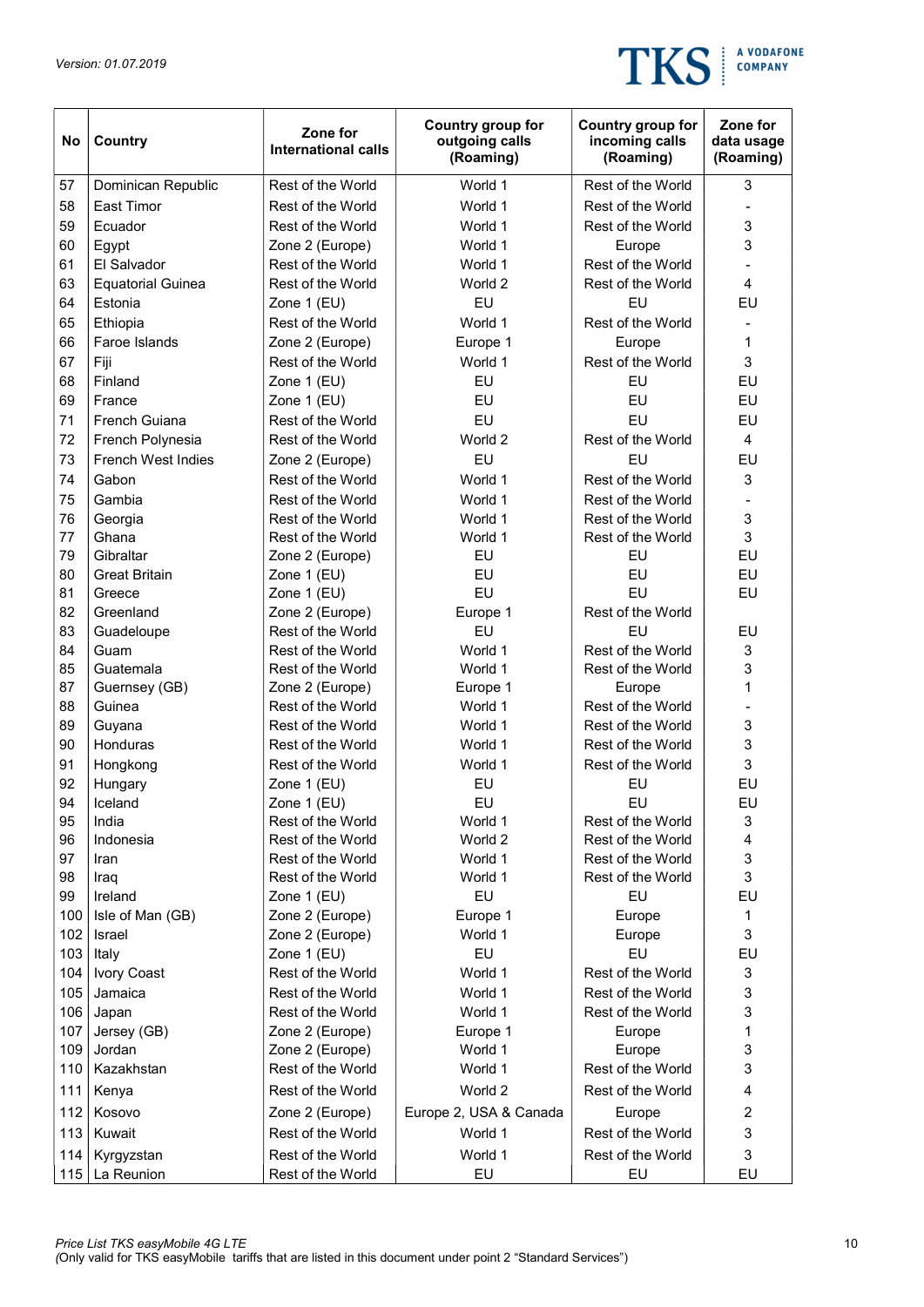

| No  | Country                  | Zone for<br><b>International calls</b> | Country group for<br>outgoing calls<br>(Roaming) | Country group for<br>incoming calls<br>(Roaming) | Zone for<br>data usage<br>(Roaming) |
|-----|--------------------------|----------------------------------------|--------------------------------------------------|--------------------------------------------------|-------------------------------------|
| 57  | Dominican Republic       | Rest of the World                      | World 1                                          | Rest of the World                                | 3                                   |
| 58  | <b>East Timor</b>        | Rest of the World                      | World 1                                          | Rest of the World                                |                                     |
| 59  | Ecuador                  | Rest of the World                      | World 1                                          | Rest of the World                                | 3                                   |
| 60  | Egypt                    | Zone 2 (Europe)                        | World 1                                          | Europe                                           | 3                                   |
| 61  | El Salvador              | Rest of the World                      | World 1                                          | Rest of the World                                |                                     |
| 63  | <b>Equatorial Guinea</b> | Rest of the World                      | World 2                                          | Rest of the World                                | $\overline{4}$                      |
| 64  | Estonia                  | Zone 1 (EU)                            | EU                                               | EU                                               | EU                                  |
| 65  | Ethiopia                 | Rest of the World                      | World 1                                          | Rest of the World                                |                                     |
| 66  | Faroe Islands            | Zone 2 (Europe)                        | Europe 1                                         | Europe                                           | 1                                   |
| 67  | Fiji                     | Rest of the World                      | World 1                                          | Rest of the World                                | 3                                   |
| 68  | Finland                  | Zone 1 (EU)                            | EU                                               | EU                                               | EU                                  |
| 69  | France                   | Zone 1 (EU)                            | EU                                               | EU                                               | EU                                  |
| 71  | French Guiana            | Rest of the World                      | EU                                               | EU                                               | EU                                  |
| 72  | French Polynesia         | Rest of the World                      | World 2                                          | Rest of the World                                | $\overline{4}$                      |
| 73  | French West Indies       | Zone 2 (Europe)                        | EU                                               | EU                                               | EU                                  |
| 74  | Gabon                    | Rest of the World                      | World 1                                          | Rest of the World                                | 3                                   |
| 75  | Gambia                   | Rest of the World                      | World 1                                          | Rest of the World                                |                                     |
| 76  | Georgia                  | Rest of the World                      | World 1                                          | Rest of the World                                | 3                                   |
| 77  | Ghana                    | Rest of the World                      | World 1                                          | Rest of the World                                | 3                                   |
| 79  | Gibraltar                | Zone 2 (Europe)                        | EU                                               | EU                                               | EU                                  |
| 80  | <b>Great Britain</b>     | Zone 1 (EU)                            | EU                                               | EU                                               | EU                                  |
| 81  | Greece                   | Zone 1 (EU)                            | EU                                               | EU                                               | EU                                  |
| 82  | Greenland                | Zone 2 (Europe)                        | Europe 1                                         | Rest of the World                                |                                     |
| 83  | Guadeloupe               | Rest of the World                      | EU                                               | EU                                               | EU                                  |
| 84  | Guam                     | Rest of the World                      | World 1                                          | Rest of the World                                | 3                                   |
| 85  | Guatemala                | Rest of the World                      | World 1                                          | Rest of the World                                | 3                                   |
| 87  | Guernsey (GB)            | Zone 2 (Europe)                        | Europe 1                                         | Europe                                           | 1                                   |
| 88  | Guinea                   | Rest of the World                      | World 1                                          | Rest of the World                                |                                     |
| 89  | Guyana                   | Rest of the World                      | World 1                                          | Rest of the World                                | 3                                   |
| 90  | Honduras                 | Rest of the World                      | World 1                                          | Rest of the World                                | 3                                   |
| 91  | Hongkong                 | Rest of the World                      | World 1                                          | Rest of the World                                | 3                                   |
| 92  | Hungary                  | Zone 1 (EU)                            | EU                                               | EU                                               | EU                                  |
| 94  | Iceland                  | Zone 1 (EU)                            | EU                                               | EU                                               | EU                                  |
| 95  | India                    | Rest of the World                      | World 1                                          | Rest of the World                                | 3                                   |
| 96  | Indonesia                | Rest of the World                      | World 2                                          | Rest of the World                                | $\overline{\mathbf{4}}$             |
| 97  | Iran                     | Rest of the World                      | World 1                                          | Rest of the World                                | 3                                   |
| 98  | Iraq                     | Rest of the World                      | World 1                                          | Rest of the World                                | 3                                   |
| 99  | Ireland                  | Zone 1 (EU)                            | EU                                               | EU                                               | EU                                  |
| 100 | Isle of Man (GB)         | Zone 2 (Europe)                        | Europe 1                                         | Europe                                           | 1                                   |
| 102 | Israel                   | Zone 2 (Europe)                        | World 1                                          | Europe                                           | $\mathsf 3$                         |
| 103 | Italy                    | Zone 1 (EU)                            | EU                                               | EU                                               | EU                                  |
| 104 | Ivory Coast              | Rest of the World                      | World 1                                          | Rest of the World                                | $\ensuremath{\mathsf{3}}$           |
| 105 | Jamaica                  | Rest of the World                      | World 1                                          | Rest of the World                                | 3                                   |
| 106 | Japan                    | Rest of the World                      | World 1                                          | Rest of the World                                | 3                                   |
| 107 | Jersey (GB)              | Zone 2 (Europe)                        | Europe 1                                         | Europe                                           | 1                                   |
| 109 | Jordan                   | Zone 2 (Europe)                        | World 1                                          | Europe                                           | 3                                   |
| 110 | Kazakhstan               | Rest of the World                      | World 1                                          | Rest of the World                                | 3                                   |
| 111 | Kenya                    | Rest of the World                      | World 2                                          | Rest of the World                                | 4                                   |
| 112 | Kosovo                   | Zone 2 (Europe)                        | Europe 2, USA & Canada                           | Europe                                           | $\overline{c}$                      |
| 113 | Kuwait                   | Rest of the World                      | World 1                                          | Rest of the World                                | 3                                   |
| 114 | Kyrgyzstan               | Rest of the World                      | World 1                                          | Rest of the World                                | 3                                   |
| 115 | La Reunion               | Rest of the World                      | EU                                               | EU                                               | EU                                  |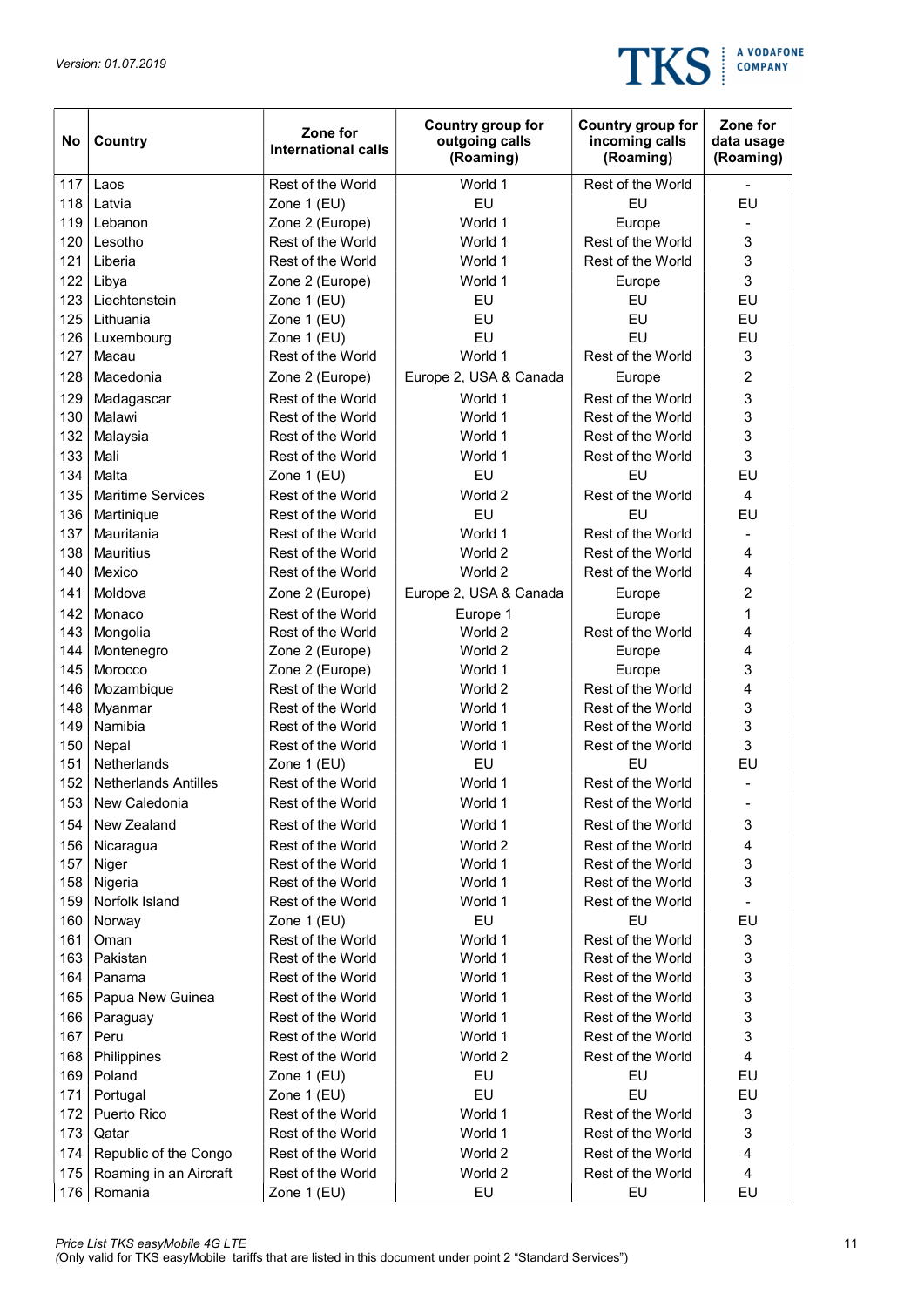

| No  | Country                     | Zone for<br><b>International calls</b> | Country group for<br>outgoing calls<br>(Roaming) | Country group for<br>incoming calls<br>(Roaming) | Zone for<br>data usage<br>(Roaming) |
|-----|-----------------------------|----------------------------------------|--------------------------------------------------|--------------------------------------------------|-------------------------------------|
| 117 | Laos                        | Rest of the World                      | World 1                                          | Rest of the World                                |                                     |
| 118 | Latvia                      | Zone 1 (EU)                            | EU                                               | EU                                               | EU                                  |
| 119 | Lebanon                     | Zone 2 (Europe)                        | World 1                                          | Europe                                           |                                     |
| 120 | Lesotho                     | Rest of the World                      | World 1                                          | Rest of the World                                | 3                                   |
| 121 | Liberia                     | Rest of the World                      | World 1                                          | Rest of the World                                | 3                                   |
| 122 | Libya                       | Zone 2 (Europe)                        | World 1                                          | Europe                                           | 3                                   |
| 123 | Liechtenstein               | Zone 1 (EU)                            | EU                                               | EU                                               | EU                                  |
| 125 | Lithuania                   | Zone 1 (EU)                            | EU                                               | EU                                               | EU                                  |
| 126 | Luxembourg                  | Zone 1 (EU)                            | EU                                               | EU                                               | EU                                  |
| 127 | Macau                       | Rest of the World                      | World 1                                          | Rest of the World                                | 3                                   |
| 128 | Macedonia                   | Zone 2 (Europe)                        | Europe 2, USA & Canada                           | Europe                                           | $\overline{c}$                      |
| 129 | Madagascar                  | Rest of the World                      | World 1                                          | Rest of the World                                | 3                                   |
| 130 | Malawi                      | Rest of the World                      | World 1                                          | Rest of the World                                | 3                                   |
| 132 | Malaysia                    | Rest of the World                      | World 1                                          | Rest of the World                                | 3                                   |
| 133 | Mali                        | Rest of the World                      | World 1                                          | Rest of the World                                | 3                                   |
| 134 | Malta                       | Zone 1 (EU)                            | EU                                               | EU                                               | EU                                  |
| 135 | <b>Maritime Services</b>    | Rest of the World                      | World 2                                          | Rest of the World                                | 4                                   |
| 136 | Martinique                  | Rest of the World                      | EU                                               | EU                                               | EU                                  |
| 137 | Mauritania                  | Rest of the World                      | World 1                                          | Rest of the World                                |                                     |
| 138 | <b>Mauritius</b>            | Rest of the World                      | World 2                                          | Rest of the World                                | 4                                   |
| 140 | Mexico                      | Rest of the World                      | World 2                                          | Rest of the World                                | 4                                   |
| 141 | Moldova                     | Zone 2 (Europe)                        | Europe 2, USA & Canada                           | Europe                                           | $\overline{c}$                      |
| 142 | Monaco                      | Rest of the World                      | Europe 1                                         | Europe                                           | 1                                   |
| 143 | Mongolia                    | Rest of the World                      | World 2                                          | Rest of the World                                | 4                                   |
| 144 | Montenegro                  | Zone 2 (Europe)                        | World 2                                          | Europe                                           | 4                                   |
| 145 | Morocco                     | Zone 2 (Europe)                        | World 1                                          | Europe                                           | 3                                   |
| 146 | Mozambique                  | Rest of the World                      | World 2                                          | Rest of the World                                | 4                                   |
| 148 | Myanmar                     | Rest of the World                      | World 1                                          | Rest of the World                                | 3                                   |
| 149 | Namibia                     | Rest of the World                      | World 1                                          | Rest of the World                                | 3                                   |
| 150 | Nepal                       | Rest of the World                      | World 1                                          | Rest of the World                                | 3                                   |
| 151 | Netherlands                 | Zone 1 (EU)                            | EU                                               | EU                                               | EU                                  |
| 152 | <b>Netherlands Antilles</b> | Rest of the World                      | World 1                                          | Rest of the World                                |                                     |
| 153 | New Caledonia               | Rest of the World                      | World 1                                          | Rest of the World                                |                                     |
| 154 | New Zealand                 | Rest of the World                      | World 1                                          | Rest of the World                                | 3                                   |
| 156 | Nicaragua                   | Rest of the World                      | World 2                                          | Rest of the World                                | 4                                   |
| 157 | Niger                       | Rest of the World                      | World 1                                          | Rest of the World                                | 3                                   |
| 158 | Nigeria                     | Rest of the World                      | World 1                                          | Rest of the World                                | 3                                   |
| 159 | Norfolk Island              | Rest of the World                      | World 1                                          | Rest of the World                                |                                     |
| 160 | Norway                      | Zone 1 (EU)                            | EU                                               | EU                                               | EU                                  |
| 161 | Oman                        | Rest of the World                      | World 1                                          | Rest of the World                                | 3                                   |
| 163 | Pakistan                    | Rest of the World                      | World 1                                          | Rest of the World                                | 3                                   |
| 164 | Panama                      | Rest of the World                      | World 1                                          | Rest of the World                                | 3                                   |
| 165 | Papua New Guinea            | Rest of the World                      | World 1                                          | Rest of the World                                | 3                                   |
| 166 | Paraguay                    | Rest of the World                      | World 1                                          | Rest of the World                                | 3                                   |
| 167 | Peru                        | Rest of the World                      | World 1                                          | Rest of the World                                | 3                                   |
| 168 | Philippines                 | Rest of the World                      | World 2                                          | Rest of the World                                | 4                                   |
| 169 | Poland                      | Zone 1 (EU)                            | EU                                               | EU                                               | EU                                  |
| 171 | Portugal                    | Zone 1 (EU)                            | EU                                               | EU                                               | EU                                  |
| 172 | Puerto Rico                 | Rest of the World                      | World 1                                          | Rest of the World                                | 3                                   |
| 173 | Qatar                       | Rest of the World                      | World 1                                          | Rest of the World                                | 3                                   |
| 174 | Republic of the Congo       | Rest of the World                      | World 2                                          | Rest of the World                                | 4                                   |
| 175 | Roaming in an Aircraft      | Rest of the World                      | World 2                                          | Rest of the World                                | 4                                   |
| 176 | Romania                     | Zone 1 (EU)                            | EU                                               | EU                                               | EU                                  |